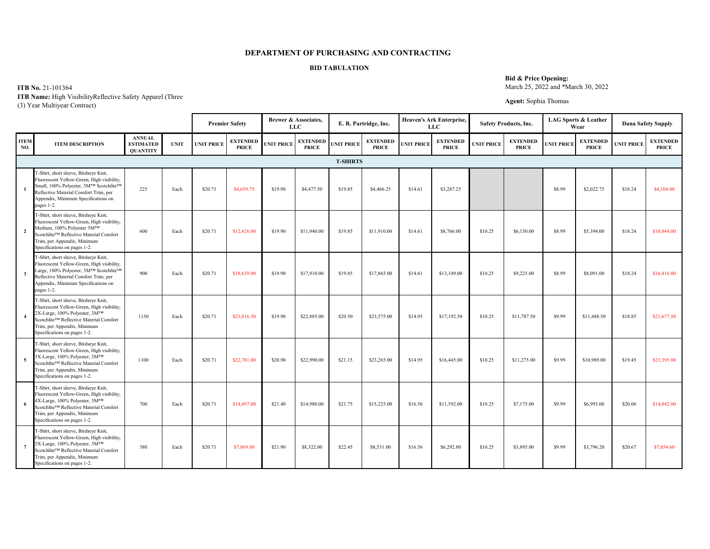**ITB No.** 21-101364

|                         |                                                                                                                                                                                                                                 |                                                      |             |                   | <b>Premier Safety</b>           | <b>Brewer &amp; Associates,</b><br><b>LLC</b> |                                 |                   | E. R. Partridge, Inc.           |                   | <b>Heaven's Ark Enterprise,</b><br><b>LLC</b> |                   | <b>Safety Products, Inc.</b>    |                   | <b>LAG Sports &amp; Leather</b><br>Wear |                   | <b>Dana Safety Supply</b>       |
|-------------------------|---------------------------------------------------------------------------------------------------------------------------------------------------------------------------------------------------------------------------------|------------------------------------------------------|-------------|-------------------|---------------------------------|-----------------------------------------------|---------------------------------|-------------------|---------------------------------|-------------------|-----------------------------------------------|-------------------|---------------------------------|-------------------|-----------------------------------------|-------------------|---------------------------------|
| <b>ITEM</b><br>NO.      | <b>ITEM DESCRIPTION</b>                                                                                                                                                                                                         | <b>ANNUAL</b><br><b>ESTIMATED</b><br><b>QUANTITY</b> | <b>UNIT</b> | <b>UNIT PRICE</b> | <b>EXTENDED</b><br><b>PRICE</b> | <b>UNIT PRICE</b>                             | <b>EXTENDED</b><br><b>PRICE</b> | <b>UNIT PRICE</b> | <b>EXTENDED</b><br><b>PRICE</b> | <b>UNIT PRICE</b> | <b>EXTENDED</b><br><b>PRICE</b>               | <b>UNIT PRICE</b> | <b>EXTENDED</b><br><b>PRICE</b> | <b>UNIT PRICE</b> | <b>EXTENDED</b><br><b>PRICE</b>         | <b>UNIT PRICE</b> | <b>EXTENDED</b><br><b>PRICE</b> |
|                         |                                                                                                                                                                                                                                 |                                                      |             |                   |                                 |                                               |                                 | <b>T-SHIRTS</b>   |                                 |                   |                                               |                   |                                 |                   |                                         |                   |                                 |
|                         | T-Shirt, short sleeve, Birdseye Knit,<br>Fluorescent Yellow-Green, High visibility,<br>Small, 100% Polyester, 3M™ Scotchlite™<br>Reflective Material Comfort Trim, per<br>Appendix, Minimum Specifications on<br>pages 1-2.     | 225                                                  | Each        | \$20.71           | \$4,659.75                      | \$19.90                                       | \$4,477.50                      | \$19.85           | \$4,466.25                      | \$14.61           | \$3,287.25                                    |                   |                                 | \$8.99            | \$2,022.75                              | \$18.24           | \$4,104.00                      |
| $\overline{2}$          | T-Shirt, short sleeve, Birdseye Knit,<br>Fluorescent Yellow-Green, High visibility,<br>Medium, 100% Polyester 3MTM<br>Scotchlite™ Reflective Material Comfort<br>Trim, per Appendix, Minimum<br>Specifications on pages 1-2.    | 600                                                  | Each        | \$20.71           | \$12,426.00                     | \$19.90                                       | \$11,940.00                     | \$19.85           | \$11,910.00                     | \$14.61           | \$8,766.00                                    | \$10.25           | \$6,150.00                      | \$8.99            | \$5,394.00                              | \$18.24           | \$10,944.00                     |
| $\overline{\mathbf{3}}$ | T-Shirt, short sleeve, Birdseye Knit,<br>Fluorescent Yellow-Green, High visibility,<br>Large, 100% Polyester, 3M™ Scotchlite™<br>Reflective Material Comfort Trim, per<br>Appendix, Minimum Specifications on<br>pages 1-2.     | 900                                                  | Each        | \$20.71           | \$18,639.00                     | \$19.90                                       | \$17,910.00                     | \$19.85           | \$17,865.00                     | \$14.61           | \$13,149.00                                   | \$10.25           | \$9,225.00                      | \$8.99            | \$8,091.00                              | \$18.24           | \$16,416.00                     |
|                         | T-Shirt, short sleeve, Birdseye Knit,<br>Fluorescent Yellow-Green, High visibility,<br>2X-Large, 100% Polyester, 3M™<br>Scotchlite™ Reflective Material Comfort<br>Trim, per Appendix, Minimum<br>Specifications on pages 1-2.  | 1150                                                 | Each        | \$20.71           | \$23,816.50                     | \$19.90                                       | \$22,885.00                     | \$20.50           | \$23,575.00                     | \$14.95           | \$17,192.50                                   | \$10.25           | \$11,787.50                     | \$9.99            | \$11,488.50                             | \$18.85           | \$21,677.50                     |
| -5                      | T-Shirt, short sleeve, Birdseye Knit,<br>Fluorescent Yellow-Green, High visibility,<br>3X-Large, 100% Polyester, 3MTM<br>Scotchlite™ Reflective Material Comfort<br>Trim, per Appendix, Minimum<br>Specifications on pages 1-2. | 1100                                                 | Each        | \$20.71           | \$22,781.00                     | \$20.90                                       | \$22,990.00                     | \$21.15           | \$23,265.00                     | \$14.95           | \$16,445.00                                   | \$10.25           | \$11,275.00                     | \$9.99            | \$10,989.00                             | \$19.45           | \$21,395.00                     |
| -6                      | T-Shirt, short sleeve, Birdseye Knit,<br>Fluorescent Yellow-Green, High visibility,<br>4X-Large, 100% Polyester, 3MTM<br>Scotchlite™ Reflective Material Comfort<br>Trim, per Appendix, Minimum<br>Specifications on pages 1-2. | 700                                                  | Each        | \$20.71           | \$14,497.00                     | \$21.40                                       | \$14,980.00                     | \$21.75           | \$15,225.00                     | \$16.56           | \$11,592.00                                   | \$10.25           | \$7,175.00                      | \$9.99            | \$6,993.00                              | \$20.06           | \$14,042.00                     |
| $\overline{7}$          | T-Shirt, short sleeve, Birdseye Knit,<br>Fluorescent Yellow-Green, High visibility,<br>5X-Large, 100% Polyester, 3MTM<br>Scotchlite™ Reflective Material Comfort<br>Trim, per Appendix, Minimum<br>Specifications on pages 1-2. | 380                                                  | Each        | \$20.71           | \$7,869.80                      | \$21.90                                       | \$8,322.00                      | \$22.45           | \$8,531.00                      | \$16.56           | \$6,292.80                                    | \$10.25           | \$3,895.00                      | \$9.99            | \$3,796.20                              | \$20.67           | \$7,854.60                      |

#### **Bid & Price Opening:**

March 25, 2022 and \*March 30, 2022

## **Agent:** Sophia Thomas

**ITB Name:** High VisibilityReflective Safety Apparel (Three

(3) Year Multiyear Contract)

### **BID TABULATION**

# **DEPARTMENT OF PURCHASING AND CONTRACTING**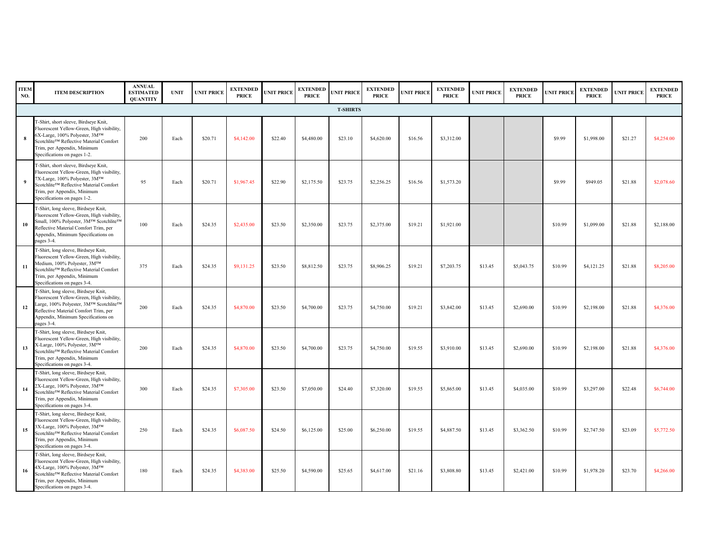| <b>ITEM</b><br>NO. | <b>ITEM DESCRIPTION</b>                                                                                                                                                                                                         | <b>ANNUAL</b><br><b>ESTIMATED</b><br><b>QUANTITY</b> | <b>UNIT</b> | <b>UNIT PRICE</b> | <b>EXTENDED</b><br><b>PRICE</b> | <b>UNIT PRICE</b> | <b>EXTENDED</b><br><b>PRICE</b> | <b>UNIT PRICE</b> | <b>EXTENDED</b><br><b>PRICE</b> | <b>UNIT PRICE</b> | <b>EXTENDED</b><br><b>PRICE</b> | <b>UNIT PRICE</b> | <b>EXTENDED</b><br><b>PRICE</b> | <b>UNIT PRICE</b> | <b>EXTENDED</b><br><b>PRICE</b> | <b>UNIT PRICE</b> | <b>EXTENDED</b><br><b>PRICE</b> |
|--------------------|---------------------------------------------------------------------------------------------------------------------------------------------------------------------------------------------------------------------------------|------------------------------------------------------|-------------|-------------------|---------------------------------|-------------------|---------------------------------|-------------------|---------------------------------|-------------------|---------------------------------|-------------------|---------------------------------|-------------------|---------------------------------|-------------------|---------------------------------|
|                    |                                                                                                                                                                                                                                 |                                                      |             |                   |                                 |                   |                                 | <b>T-SHIRTS</b>   |                                 |                   |                                 |                   |                                 |                   |                                 |                   |                                 |
|                    | T-Shirt, short sleeve, Birdseye Knit,<br>Fluorescent Yellow-Green, High visibility,<br>6X-Large, 100% Polyester, 3MTM<br>Scotchlite™ Reflective Material Comfort<br>Trim, per Appendix, Minimum<br>Specifications on pages 1-2. | 200                                                  | Each        | \$20.71           | \$4,142.00                      | \$22.40           | \$4,480.00                      | \$23.10           | \$4,620.00                      | \$16.56           | \$3,312.00                      |                   |                                 | \$9.99            | \$1,998.00                      | \$21.27           | \$4,254.00                      |
| - 9                | T-Shirt, short sleeve, Birdseye Knit,<br>Fluorescent Yellow-Green, High visibility,<br>7X-Large, 100% Polyester, 3MTM<br>Scotchlite™ Reflective Material Comfort<br>Trim, per Appendix, Minimum<br>Specifications on pages 1-2. | 95                                                   | Each        | \$20.71           | \$1,967.45                      | \$22.90           | \$2,175.50                      | \$23.75           | \$2,256.25                      | \$16.56           | \$1,573.20                      |                   |                                 | \$9.99            | \$949.05                        | \$21.88           | \$2,078.60                      |
| <b>10</b>          | T-Shirt, long sleeve, Birdseye Knit,<br>Fluorescent Yellow-Green, High visibility,<br>Small, 100% Polyester, 3M™ Scotchlite™<br>Reflective Material Comfort Trim, per<br>Appendix, Minimum Specifications on<br>pages 3-4.      | 100                                                  | Each        | \$24.35           | \$2,435.00                      | \$23.50           | \$2,350.00                      | \$23.75           | \$2,375.00                      | \$19.21           | \$1,921.00                      |                   |                                 | \$10.99           | \$1,099.00                      | \$21.88           | \$2,188.00                      |
| -11                | T-Shirt, long sleeve, Birdseye Knit,<br>Fluorescent Yellow-Green, High visibility,<br>Medium, 100% Polyester, 3MTM<br>Scotchlite™ Reflective Material Comfort<br>Trim, per Appendix, Minimum<br>Specifications on pages 3-4.    | 375                                                  | Each        | \$24.35           | \$9,131.25                      | \$23.50           | \$8,812.50                      | \$23.75           | \$8,906.25                      | \$19.21           | \$7,203.75                      | \$13.45           | \$5,043.75                      | \$10.99           | \$4,121.25                      | \$21.88           | \$8,205.00                      |
| <b>12</b>          | T-Shirt, long sleeve, Birdseye Knit,<br>Fluorescent Yellow-Green, High visibility,<br>Large, 100% Polyester, 3M™ Scotchlite™<br>Reflective Material Comfort Trim, per<br>Appendix, Minimum Specifications on<br>pages 3-4.      | 200                                                  | Each        | \$24.35           | \$4,870.00                      | \$23.50           | \$4,700.00                      | \$23.75           | \$4,750.00                      | \$19.21           | \$3,842.00                      | \$13.45           | \$2,690.00                      | \$10.99           | \$2,198.00                      | \$21.88           | \$4,376.00                      |
| 13                 | T-Shirt, long sleeve, Birdseye Knit,<br>Fluorescent Yellow-Green, High visibility,<br>X-Large, 100% Polyester, 3M™<br>Scotchlite™ Reflective Material Comfort<br>Trim, per Appendix, Minimum<br>Specifications on pages 3-4.    | 200                                                  | Each        | \$24.35           | \$4,870.00                      | \$23.50           | \$4,700.00                      | \$23.75           | \$4,750.00                      | \$19.55           | \$3,910.00                      | \$13.45           | \$2,690.00                      | \$10.99           | \$2,198.00                      | \$21.88           | \$4,376.00                      |
| 14                 | T-Shirt, long sleeve, Birdseye Knit,<br>Fluorescent Yellow-Green, High visibility,<br>2X-Large, 100% Polyester, 3M™<br>Scotchlite™ Reflective Material Comfort<br>Trim, per Appendix, Minimum<br>Specifications on pages 3-4.   | 300                                                  | Each        | \$24.35           | \$7,305.00                      | \$23.50           | \$7,050.00                      | \$24.40           | \$7,320.00                      | \$19.55           | \$5,865.00                      | \$13.45           | \$4,035.00                      | \$10.99           | \$3,297.00                      | \$22.48           | \$6,744.00                      |
| 15                 | T-Shirt, long sleeve, Birdseye Knit,<br>Fluorescent Yellow-Green, High visibility,<br>3X-Large, 100% Polyester, 3MTM<br>Scotchlite™ Reflective Material Comfort<br>Trim, per Appendix, Minimum<br>Specifications on pages 3-4.  | 250                                                  | Each        | \$24.35           | \$6,087.50                      | \$24.50           | \$6,125.00                      | \$25.00           | \$6,250.00                      | \$19.55           | \$4,887.50                      | \$13.45           | \$3,362.50                      | \$10.99           | \$2,747.50                      | \$23.09           | \$5,772.50                      |
| 16                 | T-Shirt, long sleeve, Birdseye Knit,<br>Fluorescent Yellow-Green, High visibility,<br>4X-Large, 100% Polyester, 3M™<br>Scotchlite™ Reflective Material Comfort<br>Trim, per Appendix, Minimum<br>Specifications on pages 3-4.   | 180                                                  | Each        | \$24.35           | \$4,383.00                      | \$25.50           | \$4,590.00                      | \$25.65           | \$4,617.00                      | \$21.16           | \$3,808.80                      | \$13.45           | \$2,421.00                      | \$10.99           | \$1,978.20                      | \$23.70           | \$4,266.00                      |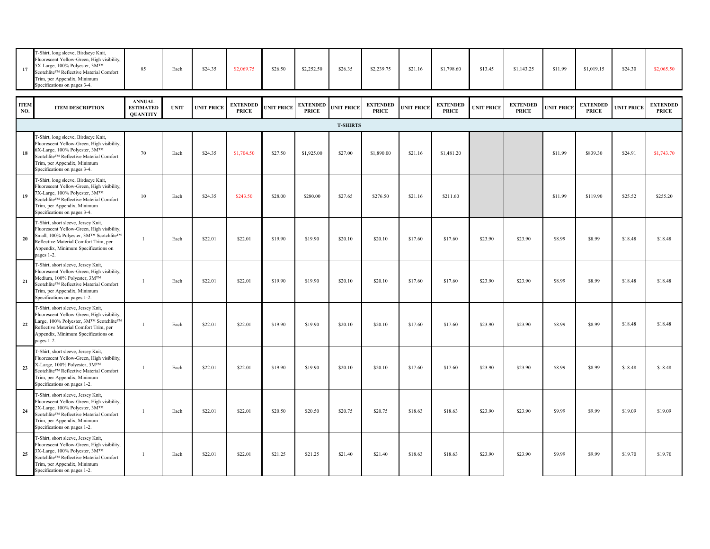| T-Shirt, long sleeve, Birdseye Knit,<br>Fluorescent Yellow-Green, High visibility,<br>5X-Large, 100% Polyester, 3MTM<br>17<br>Scotchlite™ Reflective Material Comfort<br>Trim, per Appendix, Minimum<br>Specifications on pages 3-4. | 85 | Each | \$24.35 | \$2,069.75 | \$26.50 | \$2,252.50 | \$26.35 | \$2,239.75 | \$21.16 | \$1,798.60 | \$13.45 |  |
|--------------------------------------------------------------------------------------------------------------------------------------------------------------------------------------------------------------------------------------|----|------|---------|------------|---------|------------|---------|------------|---------|------------|---------|--|
|--------------------------------------------------------------------------------------------------------------------------------------------------------------------------------------------------------------------------------------|----|------|---------|------------|---------|------------|---------|------------|---------|------------|---------|--|

| 17                 | T-Shirt, long sleeve, Birdseye Knit,<br>Fluorescent Yellow-Green, High visibility,<br>5X-Large, 100% Polyester, 3M™<br>Scotchlite™ Reflective Material Comfort<br>Trim, per Appendix, Minimum<br>Specifications on pages 3-4.  | 85                                                   | Each        | \$24.35           | \$2,069.75                      | \$26.50           | \$2,252.50                      | \$26.35           | \$2,239.75                      | \$21.16           | \$1,798.60                      | \$13.45           | \$1,143.25                      | \$11.99           | \$1,019.15                      | \$24.30           | \$2,065.50                      |
|--------------------|--------------------------------------------------------------------------------------------------------------------------------------------------------------------------------------------------------------------------------|------------------------------------------------------|-------------|-------------------|---------------------------------|-------------------|---------------------------------|-------------------|---------------------------------|-------------------|---------------------------------|-------------------|---------------------------------|-------------------|---------------------------------|-------------------|---------------------------------|
| <b>ITEM</b><br>NO. | <b>ITEM DESCRIPTION</b>                                                                                                                                                                                                        | <b>ANNUAL</b><br><b>ESTIMATED</b><br><b>QUANTITY</b> | <b>UNIT</b> | <b>UNIT PRICE</b> | <b>EXTENDED</b><br><b>PRICE</b> | <b>UNIT PRICE</b> | <b>EXTENDED</b><br><b>PRICE</b> | <b>UNIT PRICE</b> | <b>EXTENDED</b><br><b>PRICE</b> | <b>UNIT PRICE</b> | <b>EXTENDED</b><br><b>PRICE</b> | <b>UNIT PRICE</b> | <b>EXTENDED</b><br><b>PRICE</b> | <b>UNIT PRICE</b> | <b>EXTENDED</b><br><b>PRICE</b> | <b>UNIT PRICE</b> | <b>EXTENDED</b><br><b>PRICE</b> |
|                    |                                                                                                                                                                                                                                |                                                      |             |                   |                                 |                   |                                 | <b>T-SHIRTS</b>   |                                 |                   |                                 |                   |                                 |                   |                                 |                   |                                 |
|                    | T-Shirt, long sleeve, Birdseye Knit,<br>Fluorescent Yellow-Green, High visibility,<br>6X-Large, 100% Polyester, 3MTM<br>Scotchlite™ Reflective Material Comfort<br>Trim, per Appendix, Minimum<br>Specifications on pages 3-4. | 70                                                   | Each        | \$24.35           | \$1,704.50                      | \$27.50           | \$1,925.00                      | \$27.00           | \$1,890.00                      | \$21.16           | \$1,481.20                      |                   |                                 | \$11.99           | \$839.30                        | \$24.91           | \$1,743.70                      |
| 19                 | T-Shirt, long sleeve, Birdseye Knit,<br>Fluorescent Yellow-Green, High visibility,<br>7X-Large, 100% Polyester, 3M™<br>Scotchlite™ Reflective Material Comfort<br>Trim, per Appendix, Minimum<br>Specifications on pages 3-4.  | 10                                                   | Each        | \$24.35           | \$243.50                        | \$28.00           | \$280.00                        | \$27.65           | \$276.50                        | \$21.16           | \$211.60                        |                   |                                 | \$11.99           | \$119.90                        | \$25.52           | \$255.20                        |
| <b>20</b>          | T-Shirt, short sleeve, Jersey Knit,<br>Fluorescent Yellow-Green, High visibility,<br>Small, 100% Polyester, 3M™ Scotchlite™<br>Reflective Material Comfort Trim, per<br>Appendix, Minimum Specifications on<br>pages 1-2.      |                                                      | Each        | \$22.01           | \$22.01                         | \$19.90           | \$19.90                         | \$20.10           | \$20.10                         | \$17.60           | \$17.60                         | \$23.90           | \$23.90                         | \$8.99            | \$8.99                          | \$18.48           | \$18.48                         |
| 21                 | T-Shirt, short sleeve, Jersey Knit,<br>Fluorescent Yellow-Green, High visibility,<br>Medium, 100% Polyester, 3M™<br>Scotchlite™ Reflective Material Comfort<br>Trim, per Appendix, Minimum<br>Specifications on pages 1-2.     |                                                      | Each        | \$22.01           | \$22.01                         | \$19.90           | \$19.90                         | \$20.10           | \$20.10                         | \$17.60           | \$17.60                         | \$23.90           | \$23.90                         | \$8.99            | \$8.99                          | \$18.48           | \$18.48                         |
| 22                 | T-Shirt, short sleeve, Jersey Knit,<br>Fluorescent Yellow-Green, High visibility,<br>Large, 100% Polyester, 3M™ Scotchlite™<br>Reflective Material Comfort Trim, per<br>Appendix, Minimum Specifications on<br>pages 1-2.      |                                                      | Each        | \$22.01           | \$22.01                         | \$19.90           | \$19.90                         | \$20.10           | \$20.10                         | \$17.60           | \$17.60                         | \$23.90           | \$23.90                         | \$8.99            | \$8.99                          | \$18.48           | \$18.48                         |
| 23                 | T-Shirt, short sleeve, Jersey Knit,<br>Fluorescent Yellow-Green, High visibility,<br>X-Large, 100% Polyester, 3M™<br>Scotchlite™ Reflective Material Comfort<br>Trim, per Appendix, Minimum<br>Specifications on pages 1-2.    |                                                      | Each        | \$22.01           | \$22.01                         | \$19.90           | \$19.90                         | \$20.10           | \$20.10                         | \$17.60           | \$17.60                         | \$23.90           | \$23.90                         | \$8.99            | \$8.99                          | \$18.48           | \$18.48                         |
| 24                 | T-Shirt, short sleeve, Jersey Knit,<br>Fluorescent Yellow-Green, High visibility,<br>2X-Large, 100% Polyester, 3M™<br>Scotchlite™ Reflective Material Comfort<br>Trim, per Appendix, Minimum<br>Specifications on pages 1-2.   | - 1                                                  | Each        | \$22.01           | \$22.01                         | \$20.50           | \$20.50                         | \$20.75           | \$20.75                         | \$18.63           | \$18.63                         | \$23.90           | \$23.90                         | \$9.99            | \$9.99                          | \$19.09           | \$19.09                         |
| 25                 | T-Shirt, short sleeve, Jersey Knit,<br>Fluorescent Yellow-Green, High visibility,<br>3X-Large, 100% Polyester, 3M™<br>Scotchlite™ Reflective Material Comfort<br>Trim, per Appendix, Minimum<br>Specifications on pages 1-2.   |                                                      | Each        | \$22.01           | \$22.01                         | \$21.25           | \$21.25                         | \$21.40           | \$21.40                         | \$18.63           | \$18.63                         | \$23.90           | \$23.90                         | \$9.99            | \$9.99                          | \$19.70           | \$19.70                         |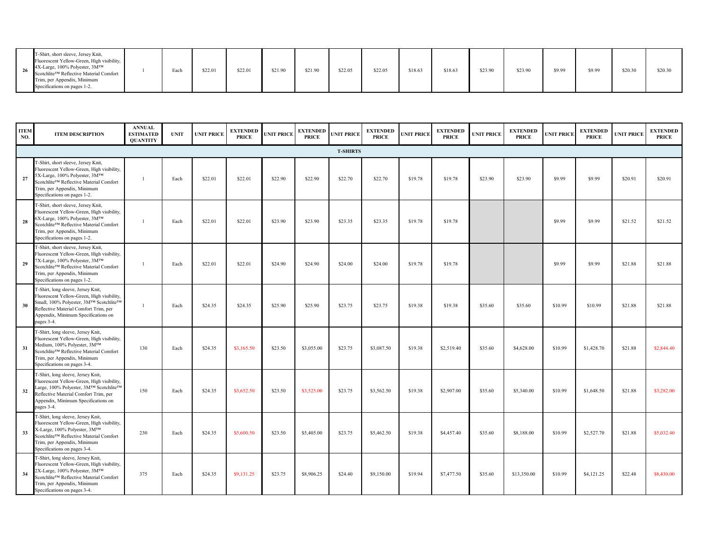|  | T-Shirt, short sleeve, Jersey Knit,<br>Fluorescent Yellow-Green, High visibility,<br>$26$ 4X-Large, 100% Polyester, 3M <sup>TM</sup><br>Scotchlite™ Reflective Material Comfort<br>Trim, per Appendix, Minimum<br>Specifications on pages 1-2. |  | ±ach | \$22.01 | \$22.0 | \$21.90 | \$21.90 | \$22.05 | \$22.05 | \$18.63 | \$18.65 | \$23.90 | \$23.90 | \$9.99 | \$9.99 | \$20.30 | \$20.30 |
|--|------------------------------------------------------------------------------------------------------------------------------------------------------------------------------------------------------------------------------------------------|--|------|---------|--------|---------|---------|---------|---------|---------|---------|---------|---------|--------|--------|---------|---------|
|--|------------------------------------------------------------------------------------------------------------------------------------------------------------------------------------------------------------------------------------------------|--|------|---------|--------|---------|---------|---------|---------|---------|---------|---------|---------|--------|--------|---------|---------|

| <b>ITEM</b><br>NO. | <b>ITEM DESCRIPTION</b>                                                                                                                                                                                                       | <b>ANNUAL</b><br><b>ESTIMATED</b><br><b>QUANTITY</b> | <b>UNIT</b> | <b>UNIT PRICE</b> | <b>EXTENDED</b><br><b>PRICE</b> | <b>UNIT PRICE</b> | <b>EXTENDED</b><br><b>PRICE</b> | <b>UNIT PRICE</b> | <b>EXTENDED</b><br><b>PRICE</b> | <b>UNIT PRICE</b> | <b>EXTENDED</b><br><b>PRICE</b> | <b>UNIT PRICE</b> | <b>EXTENDED</b><br><b>PRICE</b> | <b>UNIT PRICE</b> | <b>EXTENDED</b><br><b>PRICE</b> | <b>UNIT PRICE</b> | <b>EXTENDED</b><br><b>PRICE</b> |
|--------------------|-------------------------------------------------------------------------------------------------------------------------------------------------------------------------------------------------------------------------------|------------------------------------------------------|-------------|-------------------|---------------------------------|-------------------|---------------------------------|-------------------|---------------------------------|-------------------|---------------------------------|-------------------|---------------------------------|-------------------|---------------------------------|-------------------|---------------------------------|
|                    |                                                                                                                                                                                                                               |                                                      |             |                   |                                 |                   |                                 | <b>T-SHIRTS</b>   |                                 |                   |                                 |                   |                                 |                   |                                 |                   |                                 |
| 27                 | T-Shirt, short sleeve, Jersey Knit,<br>Fluorescent Yellow-Green, High visibility,<br>5X-Large, 100% Polyester, 3MTM<br>Scotchlite™ Reflective Material Comfort<br>Trim, per Appendix, Minimum<br>Specifications on pages 1-2. |                                                      | Each        | \$22.01           | \$22.01                         | \$22.90           | \$22.90                         | \$22.70           | \$22.70                         | \$19.78           | \$19.78                         | \$23.90           | \$23.90                         | \$9.99            | \$9.99                          | \$20.91           | \$20.91                         |
| 28                 | T-Shirt, short sleeve, Jersey Knit,<br>Fluorescent Yellow-Green, High visibility,<br>5X-Large, 100% Polyester, 3MTM<br>Scotchlite™ Reflective Material Comfort<br>Trim, per Appendix, Minimum<br>Specifications on pages 1-2. |                                                      | Each        | \$22.01           | \$22.01                         | \$23.90           | \$23.90                         | \$23.35           | \$23.35                         | \$19.78           | \$19.78                         |                   |                                 | \$9.99            | \$9.99                          | \$21.52           | \$21.52                         |
| 29                 | T-Shirt, short sleeve, Jersey Knit,<br>Fluorescent Yellow-Green, High visibility,<br>7X-Large, 100% Polyester, 3MTM<br>Scotchlite™ Reflective Material Comfort<br>Trim, per Appendix, Minimum<br>Specifications on pages 1-2. |                                                      | Each        | \$22.01           | \$22.01                         | \$24.90           | \$24.90                         | \$24.00           | \$24.00                         | \$19.78           | \$19.78                         |                   |                                 | \$9.99            | \$9.99                          | \$21.88           | \$21.88                         |
| 30                 | T-Shirt, long sleeve, Jersey Knit,<br>Fluorescent Yellow-Green, High visibility,<br>Small, 100% Polyester, 3M™ Scotchlite™<br>Reflective Material Comfort Trim, per<br>Appendix, Minimum Specifications on<br>pages 3-4.      |                                                      | Each        | \$24.35           | \$24.35                         | \$25.90           | \$25.90                         | \$23.75           | \$23.75                         | \$19.38           | \$19.38                         | \$35.60           | \$35.60                         | \$10.99           | \$10.99                         | \$21.88           | \$21.88                         |
| 31                 | T-Shirt, long sleeve, Jersey Knit,<br>Fluorescent Yellow-Green, High visibility,<br>Medium, 100% Polyester, 3MTM<br>Scotchlite™ Reflective Material Comfort<br>Trim, per Appendix, Minimum<br>Specifications on pages 3-4.    | 130                                                  | Each        | \$24.35           | \$3,165.50                      | \$23.50           | \$3,055.00                      | \$23.75           | \$3,087.50                      | \$19.38           | \$2,519.40                      | \$35.60           | \$4,628.00                      | \$10.99           | \$1,428.70                      | \$21.88           | \$2,844.40                      |
| 32                 | T-Shirt, long sleeve, Jersey Knit,<br>Fluorescent Yellow-Green, High visibility,<br>Large, 100% Polyester, 3M™ Scotchlite™<br>Reflective Material Comfort Trim, per<br>Appendix, Minimum Specifications on<br>pages 3-4.      | 150                                                  | Each        | \$24.35           | \$3,652.50                      | \$23.50           | \$3,525.00                      | \$23.75           | \$3,562.50                      | \$19.38           | \$2,907.00                      | \$35.60           | \$5,340.00                      | \$10.99           | \$1,648.50                      | \$21.88           | \$3,282.00                      |
| 33                 | T-Shirt, long sleeve, Jersey Knit,<br>Fluorescent Yellow-Green, High visibility,<br>K-Large, 100% Polyester, 3M™<br>Scotchlite™ Reflective Material Comfort<br>Trim, per Appendix, Minimum<br>Specifications on pages 3-4.    | 230                                                  | Each        | \$24.35           | \$5,600.50                      | \$23.50           | \$5,405.00                      | \$23.75           | \$5,462.50                      | \$19.38           | \$4,457.40                      | \$35.60           | \$8,188.00                      | \$10.99           | \$2,527.70                      | \$21.88           | \$5,032.40                      |
| 34                 | T-Shirt, long sleeve, Jersey Knit,<br>Fluorescent Yellow-Green, High visibility,<br>2X-Large, 100% Polyester, 3MTM<br>Scotchlite™ Reflective Material Comfort<br>Trim, per Appendix, Minimum<br>Specifications on pages 3-4.  | 375                                                  | Each        | \$24.35           | \$9,131.25                      | \$23.75           | \$8,906.25                      | \$24.40           | \$9,150.00                      | \$19.94           | \$7,477.50                      | \$35.60           | \$13,350.00                     | \$10.99           | \$4,121.25                      | \$22.48           | \$8,430.00                      |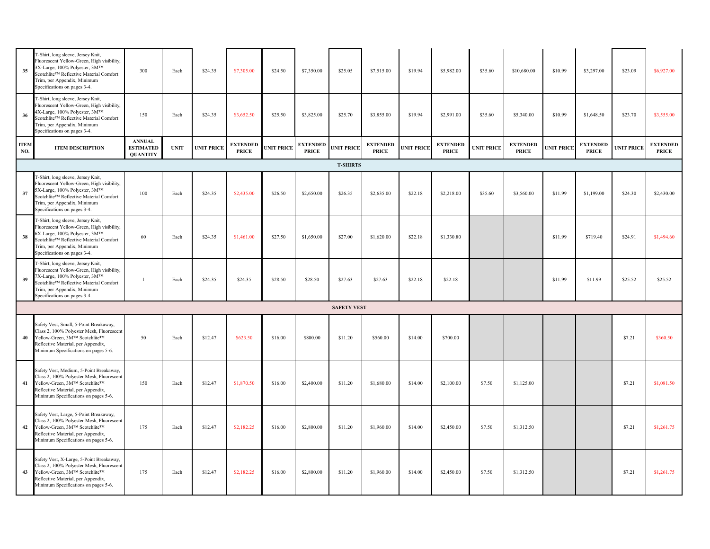| 35                 | T-Shirt, long sleeve, Jersey Knit,<br>Fluorescent Yellow-Green, High visibility,<br>3X-Large, 100% Polyester, 3M™<br>Scotchlite™ Reflective Material Comfort<br>Trim, per Appendix, Minimum<br>Specifications on pages 3-4.  | 300                                                  | Each        | \$24.35           | \$7,305.00                      | \$24.50           | \$7,350.00                      | \$25.05            | \$7,515.00                      | \$19.94           | \$5,982.00                      | \$35.60           | \$10,680.00                     | \$10.99           | \$3,297.00                      | \$23.09           | \$6,927.00                      |
|--------------------|------------------------------------------------------------------------------------------------------------------------------------------------------------------------------------------------------------------------------|------------------------------------------------------|-------------|-------------------|---------------------------------|-------------------|---------------------------------|--------------------|---------------------------------|-------------------|---------------------------------|-------------------|---------------------------------|-------------------|---------------------------------|-------------------|---------------------------------|
| 36                 | T-Shirt, long sleeve, Jersey Knit,<br>Fluorescent Yellow-Green, High visibility,<br>4X-Large, 100% Polyester, 3M™<br>Scotchlite™ Reflective Material Comfort<br>Trim, per Appendix, Minimum<br>Specifications on pages 3-4.  | 150                                                  | Each        | \$24.35           | \$3,652.50                      | \$25.50           | \$3,825.00                      | \$25.70            | \$3,855.00                      | \$19.94           | \$2,991.00                      | \$35.60           | \$5,340.00                      | \$10.99           | \$1,648.50                      | \$23.70           | \$3,555.00                      |
| <b>ITEM</b><br>NO. | <b>ITEM DESCRIPTION</b>                                                                                                                                                                                                      | <b>ANNUAL</b><br><b>ESTIMATED</b><br><b>QUANTITY</b> | <b>UNIT</b> | <b>UNIT PRICE</b> | <b>EXTENDED</b><br><b>PRICE</b> | <b>UNIT PRICE</b> | <b>EXTENDED</b><br><b>PRICE</b> | <b>UNIT PRICE</b>  | <b>EXTENDED</b><br><b>PRICE</b> | <b>UNIT PRICE</b> | <b>EXTENDED</b><br><b>PRICE</b> | <b>UNIT PRICE</b> | <b>EXTENDED</b><br><b>PRICE</b> | <b>UNIT PRICE</b> | <b>EXTENDED</b><br><b>PRICE</b> | <b>UNIT PRICE</b> | <b>EXTENDED</b><br><b>PRICE</b> |
|                    |                                                                                                                                                                                                                              |                                                      |             |                   |                                 |                   |                                 | <b>T-SHIRTS</b>    |                                 |                   |                                 |                   |                                 |                   |                                 |                   |                                 |
| 37                 | T-Shirt, long sleeve, Jersey Knit,<br>Fluorescent Yellow-Green, High visibility,<br>5X-Large, 100% Polyester, 3M™<br>Scotchlite™ Reflective Material Comfort<br>Trim, per Appendix, Minimum<br>Specifications on pages 3-4.  | 100                                                  | Each        | \$24.35           | \$2,435.00                      | \$26.50           | \$2,650.00                      | \$26.35            | \$2,635.00                      | \$22.18           | \$2,218.00                      | \$35.60           | \$3,560.00                      | \$11.99           | \$1,199.00                      | \$24.30           | \$2,430.00                      |
| 38                 | T-Shirt, long sleeve, Jersey Knit,<br>Fluorescent Yellow-Green, High visibility,<br>6X-Large, 100% Polyester, 3MTM<br>Scotchlite™ Reflective Material Comfort<br>Trim, per Appendix, Minimum<br>Specifications on pages 3-4. | 60                                                   | Each        | \$24.35           | \$1,461.00                      | \$27.50           | \$1,650.00                      | \$27.00            | \$1,620.00                      | \$22.18           | \$1,330.80                      |                   |                                 | \$11.99           | \$719.40                        | \$24.91           | \$1,494.60                      |
| 39                 | T-Shirt, long sleeve, Jersey Knit,<br>Fluorescent Yellow-Green, High visibility,<br>7X-Large, 100% Polyester, 3MTM<br>Scotchlite™ Reflective Material Comfort<br>Trim, per Appendix, Minimum<br>Specifications on pages 3-4. |                                                      | Each        | \$24.35           | \$24.35                         | \$28.50           | \$28.50                         | \$27.63            | \$27.63                         | \$22.18           | \$22.18                         |                   |                                 | \$11.99           | \$11.99                         | \$25.52           | \$25.52                         |
|                    |                                                                                                                                                                                                                              |                                                      |             |                   |                                 |                   |                                 | <b>SAFETY VEST</b> |                                 |                   |                                 |                   |                                 |                   |                                 |                   |                                 |
| 40                 | Safety Vest, Small, 5-Point Breakaway,<br>Class 2, 100% Polyester Mesh, Fluorescent<br>Yellow-Green, 3M™ Scotchlite™<br>Reflective Material, per Appendix,<br>Minimum Specifications on pages 5-6.                           | 50                                                   | Each        | \$12.47           | \$623.50                        | \$16.00           | \$800.00                        | \$11.20            | \$560.00                        | \$14.00           | \$700.00                        |                   |                                 |                   |                                 | \$7.21            | \$360.50                        |
|                    | Safety Vest, Medium, 5-Point Breakaway,<br>Class 2, 100% Polyester Mesh, Fluorescent<br>41 Yellow-Green, 3MTM ScotchliteTM<br>Reflective Material, per Appendix,<br>Minimum Specifications on pages 5-6.                     | 150                                                  | Each        | \$12.47           | \$1,870.50                      | \$16.00           | \$2,400.00                      | \$11.20            | \$1,680.00                      | \$14.00           | \$2,100.00                      | \$7.50            | \$1,125.00                      |                   |                                 | \$7.21            | \$1,081.50                      |
|                    | Safety Vest, Large, 5-Point Breakaway,<br>Class 2, 100% Polyester Mesh, Fluorescent<br>42 Yellow-Green, 3MTM ScotchliteTM<br>Reflective Material, per Appendix,<br>Minimum Specifications on pages 5-6.                      | 175                                                  | Each        | \$12.47           | \$2,182.25                      | \$16.00           | \$2,800.00                      | \$11.20            | \$1,960.00                      | \$14.00           | \$2,450.00                      | \$7.50            | \$1,312.50                      |                   |                                 | \$7.21            | \$1,261.75                      |
| 43                 | Safety Vest, X-Large, 5-Point Breakaway,<br>Class 2, 100% Polyester Mesh, Fluorescent<br>Yellow-Green, 3M™ Scotchlite™<br>Reflective Material, per Appendix,<br>Minimum Specifications on pages 5-6.                         | 175                                                  | Each        | \$12.47           | \$2,182.25                      | \$16.00           | \$2,800.00                      | \$11.20            | \$1,960.00                      | \$14.00           | \$2,450.00                      | \$7.50            | \$1,312.50                      |                   |                                 | \$7.21            | \$1,261.75                      |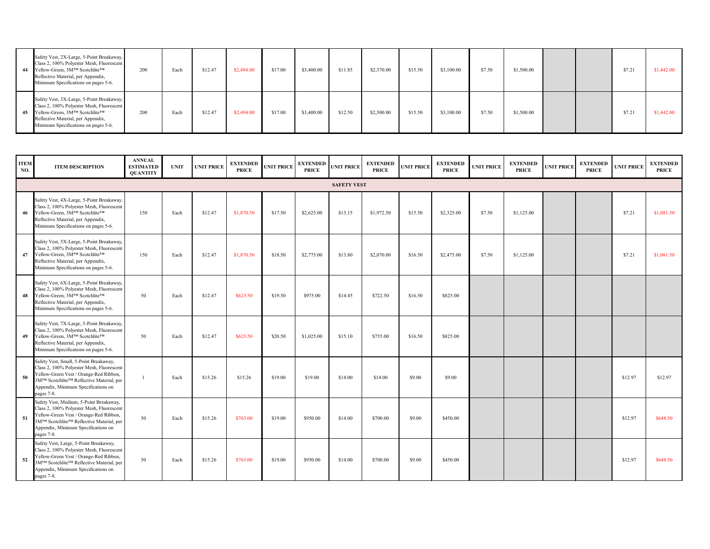| Safety Vest, 2X-Large, 5-Point Breakaway,<br>Class 2, 100% Polyester Mesh, Fluorescent<br>44 Yellow-Green, 3MTM Scotchlite <sup>TM</sup><br>Reflective Material, per Appendix,<br>Minimum Specifications on pages 5-6. | 200 | Each | \$12.47 | \$2,494.00 | \$17.00 | \$3,400.00 | \$11.85 | \$2,370.00 | \$15.50 | \$3,100.00 | \$7.50 | \$1,500.00 |  | \$7.21 | \$1,442.00 |
|------------------------------------------------------------------------------------------------------------------------------------------------------------------------------------------------------------------------|-----|------|---------|------------|---------|------------|---------|------------|---------|------------|--------|------------|--|--------|------------|
| Safety Vest, 3X-Large, 5-Point Breakaway,<br>Class 2, 100% Polyester Mesh, Fluorescent<br>45 Yellow-Green, 3MTM Scotchlite <sup>TM</sup><br>Reflective Material, per Appendix,<br>Minimum Specifications on pages 5-6. | 200 | Each | \$12.47 | \$2,494.00 | \$17.00 | \$3,400.00 | \$12.50 | \$2,500.00 | \$15.50 | \$3,100.00 | \$7.50 | \$1,500.00 |  | \$7.21 | \$1,442.00 |

| <b>ITEM</b><br>NO. | <b>ITEM DESCRIPTION</b>                                                                                                                                                                                                                      | <b>ANNUAL</b><br><b>ESTIMATED</b><br><b>QUANTITY</b> | <b>UNIT</b>           | <b>UNIT PRICE</b> | <b>EXTENDED</b><br><b>PRICE</b> | <b>UNIT PRICE</b> | <b>PRICE</b> | EXTENDED UNIT PRICE | <b>EXTENDED</b><br><b>PRICE</b> | <b>UNIT PRICE</b> | <b>EXTENDED</b><br><b>PRICE</b> | <b>UNIT PRICE</b> | <b>EXTENDED</b><br><b>PRICE</b> | <b>UNIT PRICE</b> | <b>EXTENDED</b><br><b>PRICE</b> | <b>UNIT PRICE</b> | <b>EXTENDED</b><br><b>PRICE</b> |
|--------------------|----------------------------------------------------------------------------------------------------------------------------------------------------------------------------------------------------------------------------------------------|------------------------------------------------------|-----------------------|-------------------|---------------------------------|-------------------|--------------|---------------------|---------------------------------|-------------------|---------------------------------|-------------------|---------------------------------|-------------------|---------------------------------|-------------------|---------------------------------|
|                    |                                                                                                                                                                                                                                              |                                                      |                       |                   |                                 |                   |              | <b>SAFETY VEST</b>  |                                 |                   |                                 |                   |                                 |                   |                                 |                   |                                 |
| 46                 | Safety Vest, 4X-Large, 5-Point Breakaway,<br>Class 2, 100% Polyester Mesh, Fluorescent<br>Yellow-Green, 3M™ Scotchlite™<br>Reflective Material, per Appendix,<br>Minimum Specifications on pages 5-6.                                        | 150                                                  | Each                  | \$12.47           | \$1,870.50                      | \$17.50           | \$2,625.00   | \$13.15             | \$1,972.50                      | \$15.50           | \$2,325.00                      | \$7.50            | \$1,125.00                      |                   |                                 | \$7.21            | \$1,081.50                      |
| 47                 | Safety Vest, 5X-Large, 5-Point Breakaway,<br>Class 2, 100% Polyester Mesh, Fluorescent<br>Yellow-Green, 3M™ Scotchlite™<br>Reflective Material, per Appendix,<br>Minimum Specifications on pages 5-6.                                        | 150                                                  | Each                  | \$12.47           | \$1,870.50                      | \$18.50           | \$2,775.00   | \$13.80             | \$2,070.00                      | \$16.50           | \$2,475.00                      | \$7.50            | \$1,125.00                      |                   |                                 | \$7.21            | \$1,081.50                      |
| 48                 | Safety Vest, 6X-Large, 5-Point Breakaway,<br>Class 2, 100% Polyester Mesh, Fluorescent<br>Yellow-Green, 3M™ Scotchlite™<br>Reflective Material, per Appendix,<br>Minimum Specifications on pages 5-6.                                        | 50                                                   | Each                  | \$12.47           | \$623.50                        | \$19.50           | \$975.00     | \$14.45             | \$722.50                        | \$16.50           | \$825.00                        |                   |                                 |                   |                                 |                   |                                 |
| 49                 | Safety Vest, 7X-Large, 5-Point Breakaway,<br>Class 2, 100% Polyester Mesh, Fluorescent<br>Yellow-Green, 3M™ Scotchlite™<br>Reflective Material, per Appendix,<br>Minimum Specifications on pages 5-6.                                        | 50                                                   | Each                  | \$12.47           | \$623.50                        | \$20.50           | \$1,025.00   | \$15.10             | \$755.00                        | \$16.50           | \$825.00                        |                   |                                 |                   |                                 |                   |                                 |
| 50                 | Safety Vest, Small, 5-Point Breakaway,<br>Class 2, 100% Polyester Mesh, Fluorescent<br>Yellow-Green Vest / Orange-Red Ribbon,<br>3MTM Scotchlite <sup>TM</sup> Reflective Material, per<br>Appendix, Minimum Specifications on<br>pages 7-8. |                                                      | Each                  | \$15.26           | \$15.26                         | \$19.00           | \$19.00      | \$14.00             | \$14.00                         | \$9.00            | \$9.00                          |                   |                                 |                   |                                 | \$12.97           | \$12.97                         |
| 51                 | Safety Vest, Medium, 5-Point Breakaway,<br>Class 2, 100% Polyester Mesh, Fluorescent<br>Yellow-Green Vest / Orange-Red Ribbon,<br>3M™ Scotchlite™ Reflective Material, per<br>Appendix, Minimum Specifications on<br>pages 7-8.              | 50                                                   | $\operatorname{Each}$ | \$15.26           | \$763.00                        | \$19.00           | \$950.00     | \$14.00             | \$700.00                        | \$9.00            | \$450.00                        |                   |                                 |                   |                                 | \$12.97           | \$648.50                        |
| 52                 | Safety Vest, Large, 5-Point Breakaway,<br>Class 2, 100% Polyester Mesh, Fluorescent<br>Yellow-Green Vest / Orange-Red Ribbon,<br>3M™ Scotchlite™ Reflective Material, per<br>Appendix, Minimum Specifications on<br>pages 7-8.               | 50                                                   | Each                  | \$15.26           | \$763.00                        | \$19.00           | \$950.00     | \$14.00             | \$700.00                        | \$9.00            | \$450.00                        |                   |                                 |                   |                                 | \$12.97           | \$648.50                        |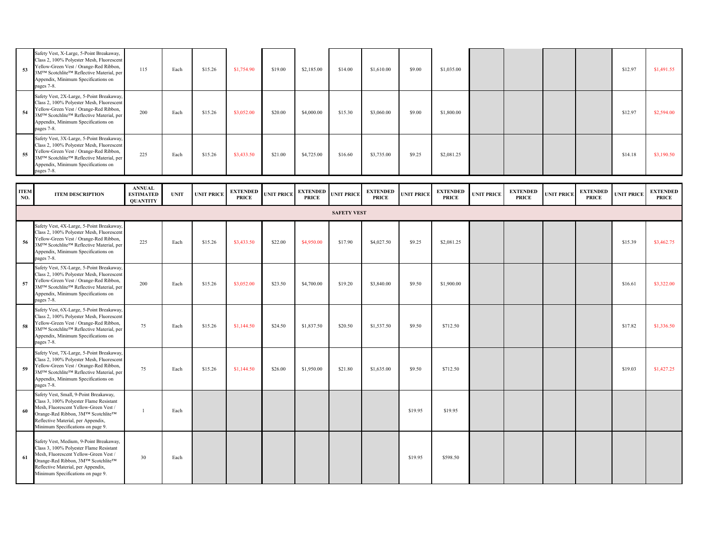| 53                 | Safety Vest, X-Large, 5-Point Breakaway,<br>Class 2, 100% Polyester Mesh, Fluorescent<br>Yellow-Green Vest / Orange-Red Ribbon,<br>3MTM Scotchlite <sup>TM</sup> Reflective Material, per<br>Appendix, Minimum Specifications on<br>pages 7-8.  | 115                                                  | Each        | \$15.26           | \$1,754.90                      | \$19.00           | \$2,185.00                      | \$14.00            | \$1,610.00                      | \$9.00            | \$1,035.00                      |                   |                                 |                   |                                 | \$12.97           | \$1,491.55                      |
|--------------------|-------------------------------------------------------------------------------------------------------------------------------------------------------------------------------------------------------------------------------------------------|------------------------------------------------------|-------------|-------------------|---------------------------------|-------------------|---------------------------------|--------------------|---------------------------------|-------------------|---------------------------------|-------------------|---------------------------------|-------------------|---------------------------------|-------------------|---------------------------------|
| 54                 | Safety Vest, 2X-Large, 5-Point Breakaway,<br>Class 2, 100% Polyester Mesh, Fluorescent<br>Yellow-Green Vest / Orange-Red Ribbon,<br>3MTM Scotchlite <sup>TM</sup> Reflective Material, per<br>Appendix, Minimum Specifications on<br>pages 7-8. | 200                                                  | Each        | \$15.26           | \$3,052.00                      | \$20.00           | \$4,000.00                      | \$15.30            | \$3,060.00                      | \$9.00            | \$1,800.00                      |                   |                                 |                   |                                 | \$12.97           | \$2,594.00                      |
| 55                 | Safety Vest, 3X-Large, 5-Point Breakaway,<br>Class 2, 100% Polyester Mesh, Fluorescent<br>Yellow-Green Vest / Orange-Red Ribbon,<br>3MTM Scotchlite <sup>TM</sup> Reflective Material, per<br>Appendix, Minimum Specifications on<br>pages 7-8. | 225                                                  | Each        | \$15.26           | \$3,433.50                      | \$21.00           | \$4,725.00                      | \$16.60            | \$3,735.00                      | \$9.25            | \$2,081.25                      |                   |                                 |                   |                                 | \$14.18           | \$3,190.50                      |
| <b>ITEM</b><br>NO. | <b>ITEM DESCRIPTION</b>                                                                                                                                                                                                                         | <b>ANNUAL</b><br><b>ESTIMATED</b><br><b>QUANTITY</b> | <b>UNIT</b> | <b>UNIT PRICE</b> | <b>EXTENDED</b><br><b>PRICE</b> | <b>UNIT PRICE</b> | <b>EXTENDED</b><br><b>PRICE</b> | <b>UNIT PRICE</b>  | <b>EXTENDED</b><br><b>PRICE</b> | <b>UNIT PRICE</b> | <b>EXTENDED</b><br><b>PRICE</b> | <b>UNIT PRICE</b> | <b>EXTENDED</b><br><b>PRICE</b> | <b>UNIT PRICE</b> | <b>EXTENDED</b><br><b>PRICE</b> | <b>UNIT PRICE</b> | <b>EXTENDED</b><br><b>PRICE</b> |
|                    |                                                                                                                                                                                                                                                 |                                                      |             |                   |                                 |                   |                                 | <b>SAFETY VEST</b> |                                 |                   |                                 |                   |                                 |                   |                                 |                   |                                 |
| 56                 | Safety Vest, 4X-Large, 5-Point Breakaway,<br>Class 2, 100% Polyester Mesh, Fluorescent<br>Yellow-Green Vest / Orange-Red Ribbon,<br>3MTM Scotchlite <sup>TM</sup> Reflective Material, per<br>Appendix, Minimum Specifications on<br>pages 7-8. | 225                                                  | Each        | \$15.26           | \$3,433.50                      | \$22.00           | \$4,950.00                      | \$17.90            | \$4,027.50                      | \$9.25            | \$2,081.25                      |                   |                                 |                   |                                 | \$15.39           | \$3,462.75                      |
| 57                 | Safety Vest, 5X-Large, 5-Point Breakaway,<br>Class 2, 100% Polyester Mesh, Fluorescent<br>Yellow-Green Vest / Orange-Red Ribbon,<br>3M™ Scotchlite™ Reflective Material, per<br>Appendix, Minimum Specifications on<br>pages 7-8.               | 200                                                  | Each        | \$15.26           | \$3,052.00                      | \$23.50           | \$4,700.00                      | \$19.20            | \$3,840.00                      | \$9.50            | \$1,900.00                      |                   |                                 |                   |                                 | \$16.61           | \$3,322.00                      |
| 58                 | Safety Vest, 6X-Large, 5-Point Breakaway,<br>Class 2, 100% Polyester Mesh, Fluorescent<br>Yellow-Green Vest / Orange-Red Ribbon,<br>3MTM Scotchlite™ Reflective Material, per<br>Appendix, Minimum Specifications on<br>pages 7-8.              | 75                                                   | Each        | \$15.26           | \$1,144.50                      | \$24.50           | \$1,837.50                      | \$20.50            | \$1,537.50                      | \$9.50            | \$712.50                        |                   |                                 |                   |                                 | \$17.82           | \$1,336.50                      |
| 59                 | Safety Vest, 7X-Large, 5-Point Breakaway,<br>Class 2, 100% Polyester Mesh, Fluorescent<br>Yellow-Green Vest / Orange-Red Ribbon,<br>3MTM Scotchlite <sup>TM</sup> Reflective Material, per<br>Appendix, Minimum Specifications on<br>pages 7-8. | 75                                                   | Each        | \$15.26           | \$1,144.50                      | \$26.00           | \$1,950.00                      | \$21.80            | \$1,635.00                      | \$9.50            | \$712.50                        |                   |                                 |                   |                                 | \$19.03           | \$1,427.25                      |
| 60                 | Safety Vest, Small, 9-Point Breakaway,<br>Class 3, 100% Polyester Flame Resistant<br>Mesh, Fluorescent Yellow-Green Vest /<br>Orange-Red Ribbon, 3M™ Scotchlite™<br>Reflective Material, per Appendix,<br>Minimum Specifications on page 9.     |                                                      | Each        |                   |                                 |                   |                                 |                    |                                 | \$19.95           | \$19.95                         |                   |                                 |                   |                                 |                   |                                 |
| -61                | Safety Vest, Medium, 9-Point Breakaway,<br>Class 3, 100% Polyester Flame Resistant<br>Mesh, Fluorescent Yellow-Green Vest /<br>Orange-Red Ribbon, 3M™ Scotchlite™<br>Reflective Material, per Appendix,<br>Minimum Specifications on page 9.    | 30                                                   | Each        |                   |                                 |                   |                                 |                    |                                 | \$19.95           | \$598.50                        |                   |                                 |                   |                                 |                   |                                 |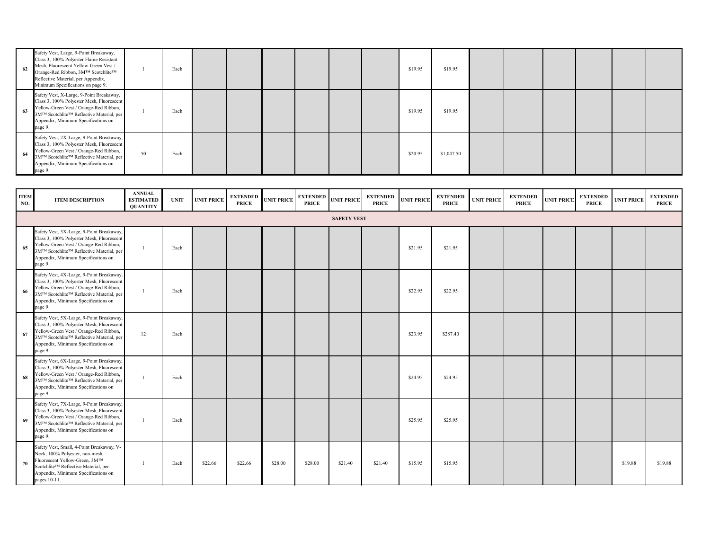| 62 | Safety Vest, Large, 9-Point Breakaway,<br>Class 3, 100% Polyester Flame Resistant<br>Mesh, Fluorescent Yellow-Green Vest /<br>Orange-Red Ribbon, 3M™ Scotchlite™<br>Reflective Material, per Appendix,<br>Minimum Specifications on page 9. |    | Each |  |  | \$19.95 | \$19.95    |  |  |  |
|----|---------------------------------------------------------------------------------------------------------------------------------------------------------------------------------------------------------------------------------------------|----|------|--|--|---------|------------|--|--|--|
| 63 | Safety Vest, X-Large, 9-Point Breakaway,<br>Class 3, 100% Polyester Mesh, Fluorescent<br>Yellow-Green Vest / Orange-Red Ribbon,<br>3M™ Scotchlite™ Reflective Material, per<br>Appendix, Minimum Specifications on<br>page 9.               |    | Each |  |  | \$19.95 | \$19.95    |  |  |  |
| 64 | Safety Vest, 2X-Large, 9-Point Breakaway,<br>Class 3, 100% Polyester Mesh, Fluorescent<br>Yellow-Green Vest / Orange-Red Ribbon,<br>3M™ Scotchlite™ Reflective Material, per<br>Appendix, Minimum Specifications on<br>page 9.              | 50 | Each |  |  | \$20.95 | \$1,047.50 |  |  |  |

| <b>ITEM</b><br>NO. | <b>ITEM DESCRIPTION</b>                                                                                                                                                                                                                      | <b>ANNUAL</b><br><b>ESTIMATED</b><br><b>QUANTITY</b> | <b>UNIT</b> | <b>UNIT PRICE</b> | <b>EXTENDED</b><br><b>PRICE</b> | <b>UNIT PRICE</b> | <b>EXTENDED</b><br><b>PRICE</b> | <b>UNIT PRICE</b>  | <b>EXTENDED</b><br><b>PRICE</b> | <b>UNIT PRICE</b> | <b>EXTENDED</b><br><b>PRICE</b> | <b>UNIT PRICE</b> | <b>EXTENDED</b><br><b>PRICE</b> | <b>UNIT PRICE</b> | <b>EXTENDED</b><br><b>PRICE</b> | <b>UNIT PRICE</b> | <b>EXTENDED</b><br><b>PRICE</b> |
|--------------------|----------------------------------------------------------------------------------------------------------------------------------------------------------------------------------------------------------------------------------------------|------------------------------------------------------|-------------|-------------------|---------------------------------|-------------------|---------------------------------|--------------------|---------------------------------|-------------------|---------------------------------|-------------------|---------------------------------|-------------------|---------------------------------|-------------------|---------------------------------|
|                    |                                                                                                                                                                                                                                              |                                                      |             |                   |                                 |                   |                                 | <b>SAFETY VEST</b> |                                 |                   |                                 |                   |                                 |                   |                                 |                   |                                 |
| 65                 | Safety Vest, 3X-Large, 9-Point Breakaway,<br>Class 3, 100% Polyester Mesh, Fluorescent<br>Yellow-Green Vest / Orange-Red Ribbon,<br>3MTM Scotchlite <sup>TM</sup> Reflective Material, per<br>Appendix, Minimum Specifications on<br>page 9. |                                                      | Each        |                   |                                 |                   |                                 |                    |                                 | \$21.95           | \$21.95                         |                   |                                 |                   |                                 |                   |                                 |
| 66                 | Safety Vest, 4X-Large, 9-Point Breakaway,<br>Class 3, 100% Polyester Mesh, Fluorescent<br>Yellow-Green Vest / Orange-Red Ribbon,<br>3MTM Scotchlite™ Reflective Material, per<br>Appendix, Minimum Specifications on<br>page 9.              |                                                      | Each        |                   |                                 |                   |                                 |                    |                                 | \$22.95           | \$22.95                         |                   |                                 |                   |                                 |                   |                                 |
| 67                 | Safety Vest, 5X-Large, 9-Point Breakaway,<br>Class 3, 100% Polyester Mesh, Fluorescent<br>Yellow-Green Vest / Orange-Red Ribbon,<br>3M™ Scotchlite™ Reflective Material, per<br>Appendix, Minimum Specifications on<br>page 9.               | 12                                                   | Each        |                   |                                 |                   |                                 |                    |                                 | \$23.95           | \$287.40                        |                   |                                 |                   |                                 |                   |                                 |
| 68                 | Safety Vest, 6X-Large, 9-Point Breakaway,<br>Class 3, 100% Polyester Mesh, Fluorescent<br>Yellow-Green Vest / Orange-Red Ribbon,<br>3MTM Scotchlite <sup>TM</sup> Reflective Material, per<br>Appendix, Minimum Specifications on<br>page 9. |                                                      | Each        |                   |                                 |                   |                                 |                    |                                 | \$24.95           | \$24.95                         |                   |                                 |                   |                                 |                   |                                 |
| 69                 | Safety Vest, 7X-Large, 9-Point Breakaway,<br>Class 3, 100% Polyester Mesh, Fluorescent<br>Yellow-Green Vest / Orange-Red Ribbon,<br>3M™ Scotchlite™ Reflective Material, per<br>Appendix, Minimum Specifications on<br>page 9.               |                                                      | Each        |                   |                                 |                   |                                 |                    |                                 | \$25.95           | \$25.95                         |                   |                                 |                   |                                 |                   |                                 |
| 70                 | Safety Vest, Small, 4-Point Breakaway, V-<br>Neck, 100% Polyester, non-mesh,<br>Fluorescent Yellow-Green, 3MTM<br>Scotchlite™ Reflective Material, per<br>Appendix, Minimum Specifications on<br>pages 10-11.                                |                                                      | Each        | \$22.66           | \$22.66                         | \$28.00           | \$28.00                         | \$21.40            | \$21.40                         | \$15.95           | \$15.95                         |                   |                                 |                   |                                 | \$19.88           | \$19.88                         |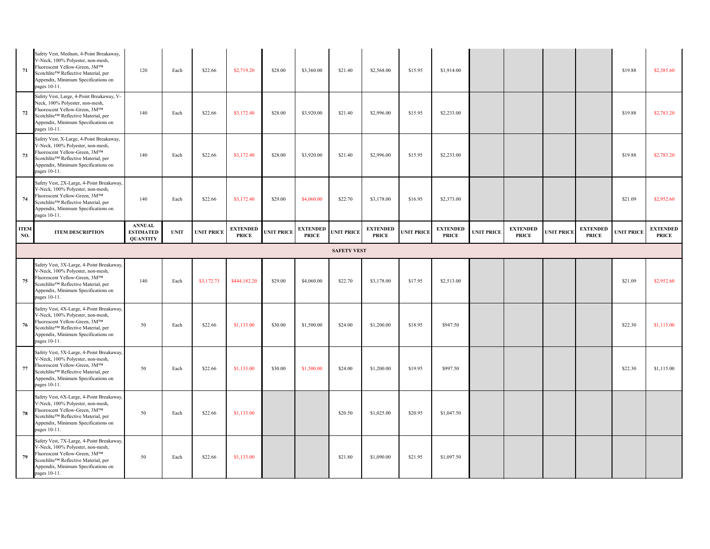| 71                 | Safety Vest, Medium, 4-Point Breakaway,<br>V-Neck, 100% Polyester, non-mesh,<br>Fluorescent Yellow-Green, 3MTM<br>Scotchlite™ Reflective Material, per<br>Appendix, Minimum Specifications on<br>pages 10-11.   | 120                                                  | Each        | \$22.66           | \$2,719.20                      | \$28.00           | \$3,360.00                      | \$21.40            | \$2,568.00                      | \$15.95           | \$1,914.00                      |                   |                                 |                   |                                 | \$19.88           | \$2,385.60                      |
|--------------------|-----------------------------------------------------------------------------------------------------------------------------------------------------------------------------------------------------------------|------------------------------------------------------|-------------|-------------------|---------------------------------|-------------------|---------------------------------|--------------------|---------------------------------|-------------------|---------------------------------|-------------------|---------------------------------|-------------------|---------------------------------|-------------------|---------------------------------|
| 72                 | Safety Vest, Large, 4-Point Breakaway, V-<br>Neck, 100% Polyester, non-mesh,<br>Fluorescent Yellow-Green, 3MTM<br>Scotchlite™ Reflective Material, per<br>Appendix, Minimum Specifications on<br>pages 10-11.   | 140                                                  | Each        | \$22.66           | \$3,172.40                      | \$28.00           | \$3,920.00                      | \$21.40            | \$2,996.00                      | \$15.95           | \$2,233.00                      |                   |                                 |                   |                                 | \$19.88           | \$2,783.20                      |
| 73                 | Safety Vest, X-Large, 4-Point Breakaway,<br>V-Neck, 100% Polyester, non-mesh,<br>Fluorescent Yellow-Green, 3MTM<br>Scotchlite™ Reflective Material, per<br>Appendix, Minimum Specifications on<br>pages 10-11.  | 140                                                  | Each        | \$22.66           | \$3,172.40                      | \$28.00           | \$3,920.00                      | \$21.40            | \$2,996.00                      | \$15.95           | \$2,233.00                      |                   |                                 |                   |                                 | \$19.88           | \$2,783.20                      |
| 74                 | Safety Vest, 2X-Large, 4-Point Breakaway,<br>V-Neck, 100% Polyester, non-mesh,<br>Fluorescent Yellow-Green, 3MTM<br>Scotchlite™ Reflective Material, per<br>Appendix, Minimum Specifications on<br>pages 10-11. | 140                                                  | Each        | \$22.66           | \$3,172.40                      | \$29.00           | \$4,060.00                      | \$22.70            | \$3,178.00                      | \$16.95           | \$2,373.00                      |                   |                                 |                   |                                 | \$21.09           | \$2,952.60                      |
| <b>ITEM</b><br>NO. | <b>ITEM DESCRIPTION</b>                                                                                                                                                                                         | <b>ANNUAL</b><br><b>ESTIMATED</b><br><b>QUANTITY</b> | <b>UNIT</b> | <b>UNIT PRICE</b> | <b>EXTENDED</b><br><b>PRICE</b> | <b>UNIT PRICE</b> | <b>EXTENDED</b><br><b>PRICE</b> | <b>UNIT PRICE</b>  | <b>EXTENDED</b><br><b>PRICE</b> | <b>UNIT PRICE</b> | <b>EXTENDED</b><br><b>PRICE</b> | <b>UNIT PRICE</b> | <b>EXTENDED</b><br><b>PRICE</b> | <b>UNIT PRICE</b> | <b>EXTENDED</b><br><b>PRICE</b> | <b>UNIT PRICE</b> | <b>EXTENDED</b><br><b>PRICE</b> |
|                    |                                                                                                                                                                                                                 |                                                      |             |                   |                                 |                   |                                 | <b>SAFETY VEST</b> |                                 |                   |                                 |                   |                                 |                   |                                 |                   |                                 |
| 75                 | Safety Vest, 3X-Large, 4-Point Breakaway,<br>V-Neck, 100% Polyester, non-mesh,<br>Fluorescent Yellow-Green, 3MTM<br>Scotchlite™ Reflective Material, per<br>Appendix, Minimum Specifications on<br>pages 10-11. | 140                                                  | Each        | \$3,172.73        | \$444,182.20                    | \$29.00           | \$4,060.00                      | \$22.70            | \$3,178.00                      | \$17.95           | \$2,513.00                      |                   |                                 |                   |                                 | \$21.09           | \$2,952.60                      |
| 76                 | Safety Vest, 4X-Large, 4-Point Breakaway,<br>V-Neck, 100% Polyester, non-mesh,<br>Fluorescent Yellow-Green, 3MTM<br>Scotchlite™ Reflective Material, per<br>Appendix, Minimum Specifications on<br>pages 10-11. | 50                                                   | Each        | \$22.66           | \$1,133.00                      | \$30.00           | \$1,500.00                      | \$24.00            | \$1,200.00                      | \$18.95           | \$947.50                        |                   |                                 |                   |                                 | \$22.30           | \$1,115.00                      |
| 77                 | Safety Vest, 5X-Large, 4-Point Breakaway,<br>V-Neck, 100% Polyester, non-mesh,<br>Fluorescent Yellow-Green, 3MTM<br>Scotchlite™ Reflective Material, per<br>Appendix, Minimum Specifications on<br>pages 10-11. | 50                                                   | Each        | \$22.66           | \$1,133.00                      | \$30.00           | \$1,500.00                      | \$24.00            | \$1,200.00                      | \$19.95           | \$997.50                        |                   |                                 |                   |                                 | \$22.30           | \$1,115.00                      |
| 78                 | Safety Vest, 6X-Large, 4-Point Breakaway,<br>V-Neck, 100% Polyester, non-mesh,<br>Fluorescent Yellow-Green, 3MTM<br>Scotchlite™ Reflective Material, per<br>Appendix, Minimum Specifications on<br>pages 10-11. | 50                                                   | Each        | \$22.66           | \$1,133.00                      |                   |                                 | \$20.50            | \$1,025.00                      | \$20.95           | \$1,047.50                      |                   |                                 |                   |                                 |                   |                                 |
| 79                 | Safety Vest, 7X-Large, 4-Point Breakaway,<br>V-Neck, 100% Polyester, non-mesh,<br>Fluorescent Yellow-Green, 3MTM<br>Scotchlite™ Reflective Material, per<br>Appendix, Minimum Specifications on<br>pages 10-11. | 50                                                   | Each        | \$22.66           | \$1,133.00                      |                   |                                 | \$21.80            | \$1,090.00                      | \$21.95           | \$1,097.50                      |                   |                                 |                   |                                 |                   |                                 |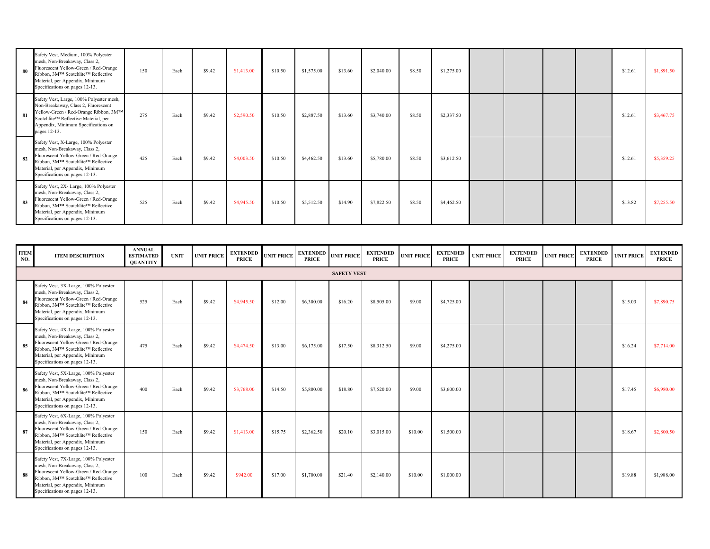| 80 | Safety Vest, Medium, 100% Polyester<br>mesh, Non-Breakaway, Class 2,<br>Fluorescent Yellow-Green / Red-Orange<br>Ribbon, 3M™ Scotchlite™ Reflective<br>Material, per Appendix, Minimum<br>Specifications on pages 12-13.    | 150 | Each | \$9.42 | \$1,413.00 | \$10.50 | \$1,575.00 | \$13.60 | \$2,040.00 | \$8.50 | \$1,275.00 |  |  | \$12.61 | \$1,891.50 |
|----|-----------------------------------------------------------------------------------------------------------------------------------------------------------------------------------------------------------------------------|-----|------|--------|------------|---------|------------|---------|------------|--------|------------|--|--|---------|------------|
| 81 | Safety Vest, Large, 100% Polyester mesh,<br>Non-Breakaway, Class 2, Fluorescent<br>Yellow-Green / Red-Orange Ribbon, 3M™<br>Scotchlite™ Reflective Material, per<br>Appendix, Minimum Specifications on<br>pages 12-13.     | 275 | Each | \$9.42 | \$2,590.50 | \$10.50 | \$2,887.50 | \$13.60 | \$3,740.00 | \$8.50 | \$2,337.50 |  |  | \$12.61 | \$3,467.75 |
| 82 | Safety Vest, X-Large, 100% Polyester<br>mesh, Non-Breakaway, Class 2,<br>Fluorescent Yellow-Green / Red-Orange<br>Ribbon, 3M™ Scotchlite™ Reflective<br>Material, per Appendix, Minimum<br>Specifications on pages 12-13.   | 425 | Each | \$9.42 | \$4,003.50 | \$10.50 | \$4,462.50 | \$13.60 | \$5,780.00 | \$8.50 | \$3,612.50 |  |  | \$12.61 | \$5,359.25 |
| 83 | Safety Vest, 2X- Large, 100% Polyester<br>mesh, Non-Breakaway, Class 2,<br>Fluorescent Yellow-Green / Red-Orange<br>Ribbon, 3M™ Scotchlite™ Reflective<br>Material, per Appendix, Minimum<br>Specifications on pages 12-13. | 525 | Each | \$9.42 | \$4,945.50 | \$10.50 | \$5,512.50 | \$14.90 | \$7,822.50 | \$8.50 | \$4,462.50 |  |  | \$13.82 | \$7,255.50 |

| <b>ITEM</b><br>NO. | <b>ITEM DESCRIPTION</b>                                                                                                                                                                                                    | <b>ANNUAL</b><br><b>ESTIMATED</b><br><b>QUANTITY</b> | <b>UNIT</b> | <b>UNIT PRICE</b> | <b>EXTENDED</b><br><b>PRICE</b> | <b>UNIT PRICE</b> | <b>EXTENDED</b><br><b>PRICE</b> | <b>UNIT PRICE</b>  | <b>EXTENDED</b><br><b>PRICE</b> | <b>UNIT PRICE</b> | <b>EXTENDED</b><br><b>PRICE</b> | <b>UNIT PRICE</b> | <b>EXTENDED</b><br><b>PRICE</b> | <b>UNIT PRICE</b> | <b>EXTENDED</b><br><b>PRICE</b> | <b>UNIT PRICE</b> | <b>EXTENDED</b><br><b>PRICE</b> |
|--------------------|----------------------------------------------------------------------------------------------------------------------------------------------------------------------------------------------------------------------------|------------------------------------------------------|-------------|-------------------|---------------------------------|-------------------|---------------------------------|--------------------|---------------------------------|-------------------|---------------------------------|-------------------|---------------------------------|-------------------|---------------------------------|-------------------|---------------------------------|
|                    |                                                                                                                                                                                                                            |                                                      |             |                   |                                 |                   |                                 | <b>SAFETY VEST</b> |                                 |                   |                                 |                   |                                 |                   |                                 |                   |                                 |
| 84                 | Safety Vest, 3X-Large, 100% Polyester<br>mesh, Non-Breakaway, Class 2,<br>Fluorescent Yellow-Green / Red-Orange<br>Ribbon, 3M™ Scotchlite™ Reflective<br>Material, per Appendix, Minimum<br>Specifications on pages 12-13. | 525                                                  | Each        | \$9.42            | \$4,945.50                      | \$12.00           | \$6,300.00                      | \$16.20            | \$8,505.00                      | \$9.00            | \$4,725.00                      |                   |                                 |                   |                                 | \$15.03           | \$7,890.75                      |
| 85                 | Safety Vest, 4X-Large, 100% Polyester<br>mesh, Non-Breakaway, Class 2,<br>Fluorescent Yellow-Green / Red-Orange<br>Ribbon, 3M™ Scotchlite™ Reflective<br>Material, per Appendix, Minimum<br>Specifications on pages 12-13. | 475                                                  | Each        | \$9.42            | \$4,474.50                      | \$13.00           | \$6,175.00                      | \$17.50            | \$8,312.50                      | \$9.00            | \$4,275.00                      |                   |                                 |                   |                                 | \$16.24           | \$7,714.00                      |
| 86                 | Safety Vest, 5X-Large, 100% Polyester<br>mesh, Non-Breakaway, Class 2,<br>Fluorescent Yellow-Green / Red-Orange<br>Ribbon, 3M™ Scotchlite™ Reflective<br>Material, per Appendix, Minimum<br>Specifications on pages 12-13. | 400                                                  | Each        | \$9.42            | \$3,768.00                      | \$14.50           | \$5,800.00                      | \$18.80            | \$7,520.00                      | \$9.00            | \$3,600.00                      |                   |                                 |                   |                                 | \$17.45           | \$6,980.00                      |
| 87                 | Safety Vest, 6X-Large, 100% Polyester<br>mesh, Non-Breakaway, Class 2,<br>Fluorescent Yellow-Green / Red-Orange<br>Ribbon, 3M™ Scotchlite™ Reflective<br>Material, per Appendix, Minimum<br>Specifications on pages 12-13. | 150                                                  | Each        | \$9.42            | \$1,413.00                      | \$15.75           | \$2,362.50                      | \$20.10            | \$3,015.00                      | \$10.00           | \$1,500.00                      |                   |                                 |                   |                                 | \$18.67           | \$2,800.50                      |
| 88                 | Safety Vest, 7X-Large, 100% Polyester<br>mesh, Non-Breakaway, Class 2,<br>Fluorescent Yellow-Green / Red-Orange<br>Ribbon, 3M™ Scotchlite™ Reflective<br>Material, per Appendix, Minimum<br>Specifications on pages 12-13. | 100                                                  | Each        | \$9.42            | \$942.00                        | \$17.00           | \$1,700.00                      | \$21.40            | \$2,140.00                      | \$10.00           | \$1,000.00                      |                   |                                 |                   |                                 | \$19.88           | \$1,988.00                      |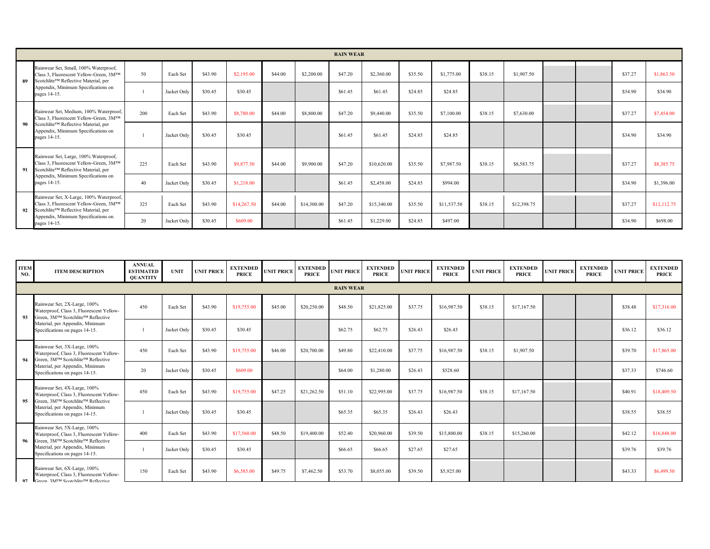|    |                                                                                                                                            |     |             |         |             |         |             | <b>RAIN WEAR</b> |             |         |             |         |             |  |         |             |
|----|--------------------------------------------------------------------------------------------------------------------------------------------|-----|-------------|---------|-------------|---------|-------------|------------------|-------------|---------|-------------|---------|-------------|--|---------|-------------|
| 89 | Rainwear Set, Small, 100% Waterproof,<br>Class 3, Fluorescent Yellow-Green, 3MTM<br>Scotchlite™ Reflective Material, per                   | 50  | Each Set    | \$43.90 | \$2,195.00  | \$44.00 | \$2,200.00  | \$47.20          | \$2,360.00  | \$35.50 | \$1,775.00  | \$38.15 | \$1,907.50  |  | \$37.27 | \$1,863.50  |
|    | Appendix, Minimum Specifications on<br>pages 14-15.                                                                                        |     | Jacket Only | \$30.45 | \$30.45     |         |             | \$61.45          | \$61.45     | \$24.85 | \$24.85     |         |             |  | \$34.90 | \$34.90     |
|    | Rainwear Set, Medium, 100% Waterproof,<br>Class 3, Fluorescent Yellow-Green, 3MTM                                                          | 200 | Each Set    | \$43.90 | \$8,780.00  | \$44.00 | \$8,800.00  | \$47.20          | \$9,440.00  | \$35.50 | \$7,100.00  | \$38.15 | \$7,630.00  |  | \$37.27 | \$7,454.00  |
| 90 | Scotchlite™ Reflective Material, per<br>Appendix, Minimum Specifications on<br>pages 14-15.                                                |     | Jacket Only | \$30.45 | \$30.45     |         |             | \$61.45          | \$61.45     | \$24.85 | \$24.85     |         |             |  | \$34.90 | \$34.90     |
| 91 | Rainwear Set, Large, 100% Waterproof,<br>Class 3, Fluorescent Yellow-Green, 3MTM<br>Scotchlite™ Reflective Material, per                   | 225 | Each Set    | \$43.90 | \$9,877.50  | \$44.00 | \$9,900.00  | \$47.20          | \$10,620.00 | \$35.50 | \$7,987.50  | \$38.15 | \$8,583.75  |  | \$37.27 | \$8,385.75  |
|    | Appendix, Minimum Specifications on<br>pages 14-15.                                                                                        | 40  | Jacket Only | \$30.45 | \$1,218.00  |         |             | \$61.45          | \$2,458.00  | \$24.85 | \$994.00    |         |             |  | \$34.90 | \$1,396.00  |
|    | Rainwear Set, X-Large, 100% Waterproof,<br>Class 3, Fluorescent Yellow-Green, 3MTM<br>92 Scotchlite <sup>TM</sup> Reflective Material, per | 325 | Each Set    | \$43.90 | \$14,267.50 | \$44.00 | \$14,300.00 | \$47.20          | \$15,340.00 | \$35.50 | \$11,537.50 | \$38.15 | \$12,398.75 |  | \$37.27 | \$12,112.75 |
|    | Appendix, Minimum Specifications on<br>pages 14-15.                                                                                        | 20  | Jacket Only | \$30.45 | \$609.00    |         |             | \$61.45          | \$1,229.00  | \$24.85 | \$497.00    |         |             |  | \$34.90 | \$698.00    |

| <b>ITEM</b><br>NO. | <b>ITEM DESCRIPTION</b>                                                                                        | <b>ANNUAL</b><br><b>ESTIMATED</b><br><b>QUANTITY</b> | <b>UNIT</b> | <b>UNIT PRICE</b> | <b>EXTENDED</b><br><b>PRICE</b> | <b>UNIT PRICE</b> | <b>EXTENDED</b><br><b>PRICE</b> | <b>UNIT PRICE</b> | <b>EXTENDED</b><br><b>PRICE</b> | <b>UNIT PRICE</b> | <b>EXTENDED</b><br><b>PRICE</b> | <b>UNIT PRICE</b> | <b>EXTENDED</b><br><b>PRICE</b> | <b>UNIT PRICE</b> | <b>EXTENDED</b><br><b>PRICE</b> | <b>UNIT PRICE</b> | <b>EXTENDED</b><br><b>PRICE</b> |
|--------------------|----------------------------------------------------------------------------------------------------------------|------------------------------------------------------|-------------|-------------------|---------------------------------|-------------------|---------------------------------|-------------------|---------------------------------|-------------------|---------------------------------|-------------------|---------------------------------|-------------------|---------------------------------|-------------------|---------------------------------|
|                    |                                                                                                                |                                                      |             |                   |                                 |                   |                                 | <b>RAIN WEAR</b>  |                                 |                   |                                 |                   |                                 |                   |                                 |                   |                                 |
| 93                 | Rainwear Set, 2X-Large, 100%<br>Waterproof, Class 3, Fluorescent Yellow-<br>Green, 3M™ Scotchlite™ Reflective  | 450                                                  | Each Set    | \$43.90           | \$19,755.00                     | \$45.00           | \$20,250.00                     | \$48.50           | \$21,825.00                     | \$37.75           | \$16,987.50                     | \$38.15           | \$17,167.50                     |                   |                                 | \$38.48           | \$17,316.00                     |
|                    | Material, per Appendix, Minimum<br>Specifications on pages 14-15.                                              |                                                      | Jacket Only | \$30.45           | \$30.45                         |                   |                                 | \$62.75           | \$62.75                         | \$26.43           | \$26.43                         |                   |                                 |                   |                                 | \$36.12           | \$36.12                         |
| - 94               | Rainwear Set, 3X-Large, 100%<br>Waterproof, Class 3, Fluorescent Yellow-<br>Green, 3M™ Scotchlite™ Reflective  | 450                                                  | Each Set    | \$43.90           | \$19,755.00                     | \$46.00           | \$20,700.00                     | \$49.80           | \$22,410.00                     | \$37.75           | \$16,987.50                     | \$38.15           | \$1,907.50                      |                   |                                 | \$39.70           | \$17,865.00                     |
|                    | Material, per Appendix, Minimum<br>Specifications on pages 14-15.                                              | 20                                                   | Jacket Only | \$30.45           | \$609.00                        |                   |                                 | \$64.00           | \$1,280.00                      | \$26.43           | \$528.60                        |                   |                                 |                   |                                 | \$37.33           | \$746.60                        |
| - 95               | Rainwear Set, 4X-Large, 100%<br>Waterproof, Class 3, Fluorescent Yellow-<br>Green, 3M™ Scotchlite™ Reflective  | 450                                                  | Each Set    | \$43.90           | \$19,755.00                     | \$47.25           | \$21,262.50                     | \$51.10           | \$22,995.00                     | \$37.75           | \$16,987.50                     | \$38.15           | \$17,167.50                     |                   |                                 | \$40.91           | \$18,409.50                     |
|                    | Material, per Appendix, Minimum<br>Specifications on pages 14-15.                                              |                                                      | Jacket Only | \$30.45           | \$30.45                         |                   |                                 | \$65.35           | \$65.35                         | \$26.43           | \$26.43                         |                   |                                 |                   |                                 | \$38.55           | \$38.55                         |
| 96                 | Rainwear Set, 5X-Large, 100%<br>Waterproof, Class 3, Fluorescent Yellow-<br>Green, 3M™ Scotchlite™ Reflective  | 400                                                  | Each Set    | \$43.90           | \$17,560.00                     | \$48.50           | \$19,400.00                     | \$52.40           | \$20,960.00                     | \$39.50           | \$15,800.00                     | \$38.15           | \$15,260.00                     |                   |                                 | \$42.12           | \$16,848.00                     |
|                    | Material, per Appendix, Minimum<br>Specifications on pages 14-15.                                              |                                                      | Jacket Only | \$30.45           | \$30.45                         |                   |                                 | \$66.65           | \$66.65                         | \$27.65           | \$27.65                         |                   |                                 |                   |                                 | \$39.76           | \$39.76                         |
| 97                 | Rainwear Set, 6X-Large, 100%<br>Waterproof, Class 3, Fluorescent Yellow-<br>Green 3MTM ScotchliteTM Reflective | 150                                                  | Each Set    | \$43.90           | \$6,585.00                      | \$49.75           | \$7,462.50                      | \$53.70           | \$8,055.00                      | \$39.50           | \$5,925.00                      |                   |                                 |                   |                                 | \$43.33           | \$6,499.50                      |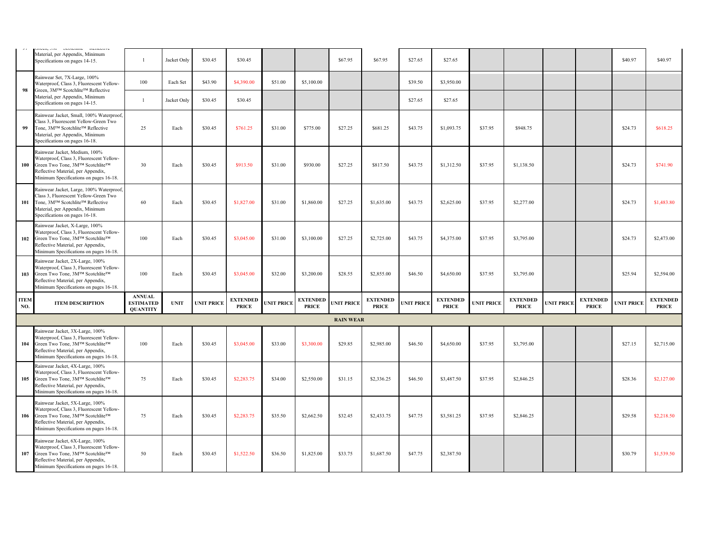|                    | ovoumu<br><b>INTERVIEW</b><br>U1<br>Material, per Appendix, Minimum<br>Specifications on pages 14-15.                                                                                                        |                                                      | Jacket Only | \$30.45           | \$30.45                         |                   |                                 | \$67.95           | \$67.95                         | \$27.65           | \$27.65                         |                   |                                 |                   |                                 | \$40.97           | \$40.97                         |
|--------------------|--------------------------------------------------------------------------------------------------------------------------------------------------------------------------------------------------------------|------------------------------------------------------|-------------|-------------------|---------------------------------|-------------------|---------------------------------|-------------------|---------------------------------|-------------------|---------------------------------|-------------------|---------------------------------|-------------------|---------------------------------|-------------------|---------------------------------|
|                    | Rainwear Set, 7X-Large, 100%<br>Waterproof, Class 3, Fluorescent Yellow-                                                                                                                                     | 100                                                  | Each Set    | \$43.90           | \$4,390.00                      | \$51.00           | \$5,100.00                      |                   |                                 | \$39.50           | \$3,950.00                      |                   |                                 |                   |                                 |                   |                                 |
| 98                 | Green, 3M™ Scotchlite™ Reflective<br>Material, per Appendix, Minimum<br>Specifications on pages 14-15.                                                                                                       |                                                      | Jacket Only | \$30.45           | \$30.45                         |                   |                                 |                   |                                 | \$27.65           | \$27.65                         |                   |                                 |                   |                                 |                   |                                 |
| 99                 | Rainwear Jacket, Small, 100% Waterproof,<br>Class 3, Fluorescent Yellow-Green Two<br>Tone, 3M™ Scotchlite™ Reflective<br>Material, per Appendix, Minimum<br>Specifications on pages 16-18.                   | 25                                                   | Each        | \$30.45           | \$761.25                        | \$31.00           | \$775.00                        | \$27.25           | \$681.25                        | \$43.75           | \$1,093.75                      | \$37.95           | \$948.75                        |                   |                                 | \$24.73           | \$618.25                        |
|                    | Rainwear Jacket, Medium, 100%<br>Waterproof, Class 3, Fluorescent Yellow-<br>100 Green Two Tone, 3M™ Scotchlite™<br>Reflective Material, per Appendix,<br>Minimum Specifications on pages 16-18.             | 30                                                   | Each        | \$30.45           | \$913.50                        | \$31.00           | \$930.00                        | \$27.25           | \$817.50                        | \$43.75           | \$1,312.50                      | \$37.95           | \$1,138.50                      |                   |                                 | \$24.73           | \$741.90                        |
|                    | Rainwear Jacket, Large, 100% Waterproof,<br>Class 3, Fluorescent Yellow-Green Two<br>101 Tone, 3MTM Scotchlite <sup>TM</sup> Reflective<br>Material, per Appendix, Minimum<br>Specifications on pages 16-18. | 60                                                   | Each        | \$30.45           | \$1,827.00                      | \$31.00           | \$1,860.00                      | \$27.25           | \$1,635.00                      | \$43.75           | \$2,625.00                      | \$37.95           | \$2,277.00                      |                   |                                 | \$24.73           | \$1,483.80                      |
|                    | Rainwear Jacket, X-Large, 100%<br>Waterproof, Class 3, Fluorescent Yellow-<br>102 Green Two Tone, 3M™ Scotchlite™<br>Reflective Material, per Appendix,<br>Minimum Specifications on pages 16-18.            | 100                                                  | Each        | \$30.45           | \$3,045.00                      | \$31.00           | \$3,100.00                      | \$27.25           | \$2,725.00                      | \$43.75           | \$4,375.00                      | \$37.95           | \$3,795.00                      |                   |                                 | \$24.73           | \$2,473.00                      |
|                    | Rainwear Jacket, 2X-Large, 100%<br>Waterproof, Class 3, Fluorescent Yellow-<br>103 Green Two Tone, 3M™ Scotchlite™<br>Reflective Material, per Appendix,<br>Minimum Specifications on pages 16-18.           | 100                                                  | Each        | \$30.45           | \$3,045.00                      | \$32.00           | \$3,200.00                      | \$28.55           | \$2,855.00                      | \$46.50           | \$4,650.00                      | \$37.95           | \$3,795.00                      |                   |                                 | \$25.94           | \$2,594.00                      |
| <b>ITEM</b><br>NO. | <b>ITEM DESCRIPTION</b>                                                                                                                                                                                      | <b>ANNUAL</b><br><b>ESTIMATED</b><br><b>QUANTITY</b> | <b>UNIT</b> | <b>UNIT PRICE</b> | <b>EXTENDED</b><br><b>PRICE</b> | <b>UNIT PRICE</b> | <b>EXTENDED</b><br><b>PRICE</b> | <b>UNIT PRICE</b> | <b>EXTENDED</b><br><b>PRICE</b> | <b>UNIT PRICE</b> | <b>EXTENDED</b><br><b>PRICE</b> | <b>UNIT PRICE</b> | <b>EXTENDED</b><br><b>PRICE</b> | <b>UNIT PRICE</b> | <b>EXTENDED</b><br><b>PRICE</b> | <b>UNIT PRICE</b> | <b>EXTENDED</b><br><b>PRICE</b> |
|                    |                                                                                                                                                                                                              |                                                      |             |                   |                                 |                   |                                 | <b>RAIN WEAR</b>  |                                 |                   |                                 |                   |                                 |                   |                                 |                   |                                 |
|                    | Rainwear Jacket, 3X-Large, 100%<br>Waterproof, Class 3, Fluorescent Yellow-<br>104 Green Two Tone, 3M™ Scotchlite™<br>Reflective Material, per Appendix,<br>Minimum Specifications on pages 16-18.           | 100                                                  | Each        | \$30.45           | \$3,045.00                      | \$33.00           | \$3,300.00                      | \$29.85           | \$2,985.00                      | \$46.50           | \$4,650.00                      | \$37.95           | \$3,795.00                      |                   |                                 | \$27.15           | \$2,715.00                      |
|                    | Rainwear Jacket, 4X-Large, 100%<br>Waterproof, Class 3, Fluorescent Yellow-<br>105 Green Two Tone, 3M™ Scotchlite™<br>Reflective Material, per Appendix,<br>Minimum Specifications on pages 16-18.           | 75                                                   | Each        | \$30.45           | \$2,283.75                      | \$34.00           | \$2,550.00                      | \$31.15           | \$2,336.25                      | \$46.50           | \$3,487.50                      | \$37.95           | \$2,846.25                      |                   |                                 | \$28.36           | \$2,127.00                      |
|                    | Rainwear Jacket, 5X-Large, 100%<br>Waterproof, Class 3, Fluorescent Yellow-<br>106 Green Two Tone, 3M™ Scotchlite™<br>Reflective Material, per Appendix,<br>Minimum Specifications on pages 16-18.           | 75                                                   | Each        | \$30.45           | \$2,283.75                      | \$35.50           | \$2,662.50                      | \$32.45           | \$2,433.75                      | \$47.75           | \$3,581.25                      | \$37.95           | \$2,846.25                      |                   |                                 | \$29.58           | \$2,218.50                      |
| 107                | Rainwear Jacket, 6X-Large, 100%<br>Waterproof, Class 3, Fluorescent Yellow-<br>Green Two Tone, 3M™ Scotchlite™<br>Reflective Material, per Appendix,<br>Minimum Specifications on pages 16-18.               | 50                                                   | Each        | \$30.45           | \$1,522.50                      | \$36.50           | \$1,825.00                      | \$33.75           | \$1,687.50                      | \$47.75           | \$2,387.50                      |                   |                                 |                   |                                 | \$30.79           | \$1,539.50                      |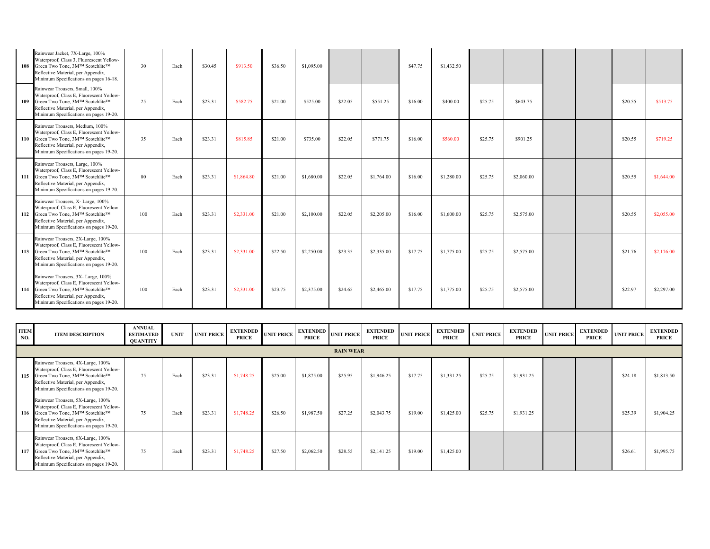|            | Rainwear Jacket, 7X-Large, 100%<br>Waterproof, Class 3, Fluorescent Yellow-<br>108 Green Two Tone, 3M™ Scotchlite™<br>Reflective Material, per Appendix,<br>Minimum Specifications on pages 16-18.    | 30  | Each | \$30.45 | \$913.50   | \$36.50 | \$1,095.00 |         |            | \$47.75 | \$1,432.50 |         |            |  |         |            |
|------------|-------------------------------------------------------------------------------------------------------------------------------------------------------------------------------------------------------|-----|------|---------|------------|---------|------------|---------|------------|---------|------------|---------|------------|--|---------|------------|
|            | Rainwear Trousers, Small, 100%<br>Waterproof, Class E, Fluorescent Yellow-<br>109 Green Two Tone, 3M™ Scotchlite™<br>Reflective Material, per Appendix,<br>Minimum Specifications on pages 19-20.     | 25  | Each | \$23.31 | \$582.75   | \$21.00 | \$525.00   | \$22.05 | \$551.25   | \$16.00 | \$400.00   | \$25.75 | \$643.75   |  | \$20.55 | \$513.75   |
| <b>110</b> | Rainwear Trousers, Medium, 100%<br>Waterproof, Class E, Fluorescent Yellow-<br>Green Two Tone, 3M™ Scotchlite™<br>Reflective Material, per Appendix,<br>Minimum Specifications on pages 19-20.        | 35  | Each | \$23.31 | \$815.85   | \$21.00 | \$735.00   | \$22.05 | \$771.75   | \$16.00 | \$560.00   | \$25.75 | \$901.25   |  | \$20.55 | \$719.25   |
|            | Rainwear Trousers, Large, 100%<br>Waterproof, Class E, Fluorescent Yellow-<br>111 Green Two Tone, 3M™ Scotchlite™<br>Reflective Material, per Appendix,<br>Minimum Specifications on pages 19-20.     | 80  | Each | \$23.31 | \$1,864.80 | \$21.00 | \$1,680.00 | \$22.05 | \$1,764.00 | \$16.00 | \$1,280.00 | \$25.75 | \$2,060.00 |  | \$20.55 | \$1,644.00 |
|            | Rainwear Trousers, X- Large, 100%<br>Waterproof, Class E, Fluorescent Yellow-<br>112 Green Two Tone, 3M™ Scotchlite™<br>Reflective Material, per Appendix,<br>Minimum Specifications on pages 19-20.  | 100 | Each | \$23.31 | \$2,331.00 | \$21.00 | \$2,100.00 | \$22.05 | \$2,205.00 | \$16.00 | \$1,600.00 | \$25.75 | \$2,575.00 |  | \$20.55 | \$2,055.00 |
|            | Rainwear Trousers, 2X-Large, 100%<br>Waterproof, Class E, Fluorescent Yellow-<br>113 Green Two Tone, 3M™ Scotchlite™<br>Reflective Material, per Appendix,<br>Minimum Specifications on pages 19-20.  | 100 | Each | \$23.31 | \$2,331.00 | \$22.50 | \$2,250.00 | \$23.35 | \$2,335.00 | \$17.75 | \$1,775.00 | \$25.75 | \$2,575.00 |  | \$21.76 | \$2,176.00 |
|            | Rainwear Trousers, 3X- Large, 100%<br>Waterproof, Class E, Fluorescent Yellow-<br>114 Green Two Tone, 3M™ Scotchlite™<br>Reflective Material, per Appendix,<br>Minimum Specifications on pages 19-20. | 100 | Each | \$23.31 | \$2,331.00 | \$23.75 | \$2,375.00 | \$24.65 | \$2,465.00 | \$17.75 | \$1,775.00 | \$25.75 | \$2,575.00 |  | \$22.97 | \$2,297.00 |

| <b>ITEM</b><br>NO. | <b>ITEM DESCRIPTION</b>                                                                                                                                                                              | <b>ANNUAL</b><br><b>ESTIMATED</b><br><b>QUANTITY</b> | <b>UNIT</b> | <b>UNIT PRICE</b> | <b>EXTENDED</b><br><b>PRICE</b> | <b>UNIT PRICE</b> | <b>EXTENDED</b><br><b>PRICE</b> | <b>UNIT PRICE</b> | <b>EXTENDED</b><br><b>PRICE</b> | <b>UNIT PRICE</b> | <b>EXTENDED</b><br><b>PRICE</b> | <b>UNIT PRICE</b> | <b>EXTENDED</b><br><b>PRICE</b> | <b>UNIT PRICE</b> | <b>EXTENDED</b><br><b>PRICE</b> | <b>UNIT PRICE</b> | <b>EXTENDED</b><br><b>PRICE</b> |
|--------------------|------------------------------------------------------------------------------------------------------------------------------------------------------------------------------------------------------|------------------------------------------------------|-------------|-------------------|---------------------------------|-------------------|---------------------------------|-------------------|---------------------------------|-------------------|---------------------------------|-------------------|---------------------------------|-------------------|---------------------------------|-------------------|---------------------------------|
|                    |                                                                                                                                                                                                      |                                                      |             |                   |                                 |                   |                                 | <b>RAIN WEAR</b>  |                                 |                   |                                 |                   |                                 |                   |                                 |                   |                                 |
|                    | Rainwear Trousers, 4X-Large, 100%<br>Waterproof, Class E, Fluorescent Yellow-<br>115 Green Two Tone, 3M™ Scotchlite™<br>Reflective Material, per Appendix,<br>Minimum Specifications on pages 19-20. | 75                                                   | Each        | \$23.31           | \$1,748.25                      | \$25.00           | \$1,875.00                      | \$25.95           | \$1,946.25                      | \$17.75           | \$1,331.25                      | \$25.75           | \$1,931.25                      |                   |                                 | \$24.18           | \$1,813.50                      |
|                    | Rainwear Trousers, 5X-Large, 100%<br>Waterproof, Class E, Fluorescent Yellow-<br>116 Green Two Tone, 3M™ Scotchlite™<br>Reflective Material, per Appendix,<br>Minimum Specifications on pages 19-20. | 75                                                   | Each        | \$23.31           | \$1,748.25                      | \$26.50           | \$1,987.50                      | \$27.25           | \$2,043.75                      | \$19.00           | \$1,425.00                      | \$25.75           | \$1,931.25                      |                   |                                 | \$25.39           | \$1,904.25                      |
| 117                | Rainwear Trousers, 6X-Large, 100%<br>Waterproof, Class E, Fluorescent Yellow-<br>Green Two Tone, 3M™ Scotchlite™<br>Reflective Material, per Appendix,<br>Minimum Specifications on pages 19-20.     | 75                                                   | Each        | \$23.31           | \$1,748.25                      | \$27.50           | \$2,062.50                      | \$28.55           | \$2,141.25                      | \$19.00           | \$1,425.00                      |                   |                                 |                   |                                 | \$26.61           | \$1,995.75                      |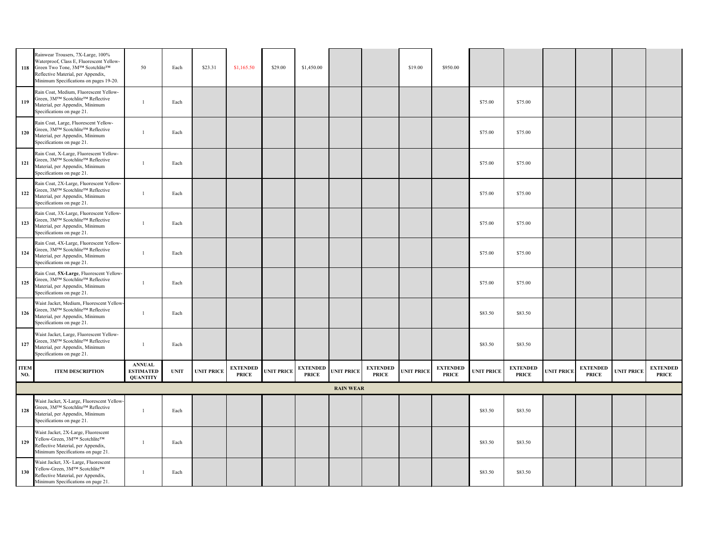|                    | Rainwear Trousers, 7X-Large, 100%<br>Waterproof, Class E, Fluorescent Yellow-<br>118 Green Two Tone, 3M™ Scotchlite™<br>Reflective Material, per Appendix,<br>Minimum Specifications on pages 19-20. | 50                                                   | Each        | \$23.31           | \$1,165.50                      | \$29.00           | \$1,450.00                      |                   |                                 | \$19.00           | \$950.00                        |                   |                                 |                   |                                 |                   |                                 |
|--------------------|------------------------------------------------------------------------------------------------------------------------------------------------------------------------------------------------------|------------------------------------------------------|-------------|-------------------|---------------------------------|-------------------|---------------------------------|-------------------|---------------------------------|-------------------|---------------------------------|-------------------|---------------------------------|-------------------|---------------------------------|-------------------|---------------------------------|
| 119                | Rain Coat, Medium, Fluorescent Yellow-<br>Green, 3M™ Scotchlite™ Reflective<br>Material, per Appendix, Minimum<br>Specifications on page 21.                                                         |                                                      | Each        |                   |                                 |                   |                                 |                   |                                 |                   |                                 | \$75.00           | \$75.00                         |                   |                                 |                   |                                 |
| <b>120</b>         | Rain Coat, Large, Fluorescent Yellow-<br>Green, 3M™ Scotchlite™ Reflective<br>Material, per Appendix, Minimum<br>Specifications on page 21.                                                          |                                                      | Each        |                   |                                 |                   |                                 |                   |                                 |                   |                                 | \$75.00           | \$75.00                         |                   |                                 |                   |                                 |
| 121                | Rain Coat, X-Large, Fluorescent Yellow-<br>Green, 3M™ Scotchlite™ Reflective<br>Material, per Appendix, Minimum<br>Specifications on page 21.                                                        |                                                      | Each        |                   |                                 |                   |                                 |                   |                                 |                   |                                 | \$75.00           | \$75.00                         |                   |                                 |                   |                                 |
| 122                | Rain Coat, 2X-Large, Fluorescent Yellow-<br>Green, 3M™ Scotchlite™ Reflective<br>Material, per Appendix, Minimum<br>Specifications on page 21.                                                       |                                                      | Each        |                   |                                 |                   |                                 |                   |                                 |                   |                                 | \$75.00           | \$75.00                         |                   |                                 |                   |                                 |
| 123                | Rain Coat, 3X-Large, Fluorescent Yellow-<br>Green, 3M™ Scotchlite™ Reflective<br>Material, per Appendix, Minimum<br>Specifications on page 21.                                                       |                                                      | Each        |                   |                                 |                   |                                 |                   |                                 |                   |                                 | \$75.00           | \$75.00                         |                   |                                 |                   |                                 |
| 124                | Rain Coat, 4X-Large, Fluorescent Yellow-<br>Green, 3M™ Scotchlite™ Reflective<br>Material, per Appendix, Minimum<br>Specifications on page 21.                                                       | $\overline{1}$                                       | Each        |                   |                                 |                   |                                 |                   |                                 |                   |                                 | \$75.00           | \$75.00                         |                   |                                 |                   |                                 |
| 125                | Rain Coat, 5X-Large, Fluorescent Yellow-<br>Green, 3M™ Scotchlite™ Reflective<br>Material, per Appendix, Minimum<br>Specifications on page 21.                                                       | -1                                                   | Each        |                   |                                 |                   |                                 |                   |                                 |                   |                                 | \$75.00           | \$75.00                         |                   |                                 |                   |                                 |
| 126                | Waist Jacket, Medium, Fluorescent Yellow-<br>Green, 3M™ Scotchlite™ Reflective<br>Material, per Appendix, Minimum<br>Specifications on page 21.                                                      |                                                      | Each        |                   |                                 |                   |                                 |                   |                                 |                   |                                 | \$83.50           | \$83.50                         |                   |                                 |                   |                                 |
| 127                | Waist Jacket, Large, Fluorescent Yellow-<br>Green, 3M™ Scotchlite™ Reflective<br>Material, per Appendix, Minimum<br>Specifications on page 21.                                                       |                                                      | Each        |                   |                                 |                   |                                 |                   |                                 |                   |                                 | \$83.50           | \$83.50                         |                   |                                 |                   |                                 |
| <b>ITEM</b><br>NO. | <b>ITEM DESCRIPTION</b>                                                                                                                                                                              | <b>ANNUAL</b><br><b>ESTIMATED</b><br><b>QUANTITY</b> | <b>UNIT</b> | <b>UNIT PRICE</b> | <b>EXTENDED</b><br><b>PRICE</b> | <b>UNIT PRICE</b> | <b>EXTENDED</b><br><b>PRICE</b> | <b>UNIT PRICE</b> | <b>EXTENDED</b><br><b>PRICE</b> | <b>UNIT PRICE</b> | <b>EXTENDED</b><br><b>PRICE</b> | <b>UNIT PRICE</b> | <b>EXTENDED</b><br><b>PRICE</b> | <b>UNIT PRICE</b> | <b>EXTENDED</b><br><b>PRICE</b> | <b>UNIT PRICE</b> | <b>EXTENDED</b><br><b>PRICE</b> |
|                    |                                                                                                                                                                                                      |                                                      |             |                   |                                 |                   |                                 | <b>RAIN WEAR</b>  |                                 |                   |                                 |                   |                                 |                   |                                 |                   |                                 |
| 128                | Waist Jacket, X-Large, Fluorescent Yellow-<br>Green, 3M™ Scotchlite™ Reflective<br>Material, per Appendix, Minimum<br>Specifications on page 21.                                                     |                                                      | Each        |                   |                                 |                   |                                 |                   |                                 |                   |                                 | \$83.50           | \$83.50                         |                   |                                 |                   |                                 |
| 129                | Waist Jacket, 2X-Large, Fluorescent<br>Yellow-Green, 3M™ Scotchlite™<br>Reflective Material, per Appendix,<br>Minimum Specifications on page 21.                                                     |                                                      | Each        |                   |                                 |                   |                                 |                   |                                 |                   |                                 | \$83.50           | \$83.50                         |                   |                                 |                   |                                 |
| 130                | Waist Jacket, 3X- Large, Fluorescent<br>Yellow-Green, 3M™ Scotchlite™<br>Reflective Material, per Appendix,<br>Minimum Specifications on page 21.                                                    |                                                      | Each        |                   |                                 |                   |                                 |                   |                                 |                   |                                 | \$83.50           | \$83.50                         |                   |                                 |                   |                                 |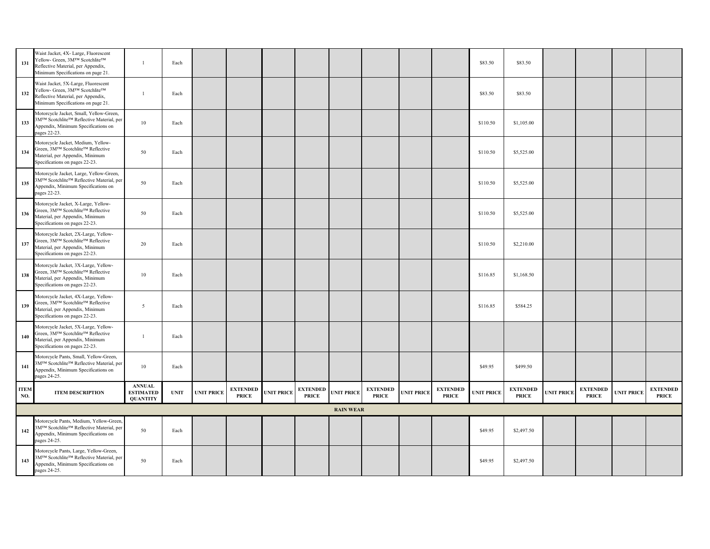| 131                | Waist Jacket, 4X- Large, Fluorescent<br>Yellow- Green, 3M™ Scotchlite™<br>Reflective Material, per Appendix,<br>Minimum Specifications on page 21. |                                                      | Each        |                   |                                 |                   |                                 |                   |                                 |                   |                                 | \$83.50           | \$83.50                         |                   |                                 |                   |                                 |
|--------------------|----------------------------------------------------------------------------------------------------------------------------------------------------|------------------------------------------------------|-------------|-------------------|---------------------------------|-------------------|---------------------------------|-------------------|---------------------------------|-------------------|---------------------------------|-------------------|---------------------------------|-------------------|---------------------------------|-------------------|---------------------------------|
| 132                | Waist Jacket, 5X-Large, Fluorescent<br>Yellow- Green, 3M™ Scotchlite™<br>Reflective Material, per Appendix,<br>Minimum Specifications on page 21.  |                                                      | Each        |                   |                                 |                   |                                 |                   |                                 |                   |                                 | \$83.50           | \$83.50                         |                   |                                 |                   |                                 |
| 133                | Motorcycle Jacket, Small, Yellow-Green,<br>3MTM Scotchlite™ Reflective Material, per<br>Appendix, Minimum Specifications on<br>pages 22-23.        | 10                                                   | Each        |                   |                                 |                   |                                 |                   |                                 |                   |                                 | \$110.50          | \$1,105.00                      |                   |                                 |                   |                                 |
| 134                | Motorcycle Jacket, Medium, Yellow-<br>Green, 3M™ Scotchlite™ Reflective<br>Material, per Appendix, Minimum<br>Specifications on pages 22-23.       | 50                                                   | Each        |                   |                                 |                   |                                 |                   |                                 |                   |                                 | \$110.50          | \$5,525.00                      |                   |                                 |                   |                                 |
| 135                | Motorcycle Jacket, Large, Yellow-Green,<br>3MTM Scotchlite™ Reflective Material, per<br>Appendix, Minimum Specifications on<br>pages 22-23.        | 50                                                   | Each        |                   |                                 |                   |                                 |                   |                                 |                   |                                 | \$110.50          | \$5,525.00                      |                   |                                 |                   |                                 |
| 136                | Motorcycle Jacket, X-Large, Yellow-<br>Green, 3M™ Scotchlite™ Reflective<br>Material, per Appendix, Minimum<br>Specifications on pages 22-23.      | 50                                                   | Each        |                   |                                 |                   |                                 |                   |                                 |                   |                                 | \$110.50          | \$5,525.00                      |                   |                                 |                   |                                 |
| 137                | Motorcycle Jacket, 2X-Large, Yellow-<br>Green, 3M™ Scotchlite™ Reflective<br>Material, per Appendix, Minimum<br>Specifications on pages 22-23.     | 20                                                   | Each        |                   |                                 |                   |                                 |                   |                                 |                   |                                 | \$110.50          | \$2,210.00                      |                   |                                 |                   |                                 |
| 138                | Motorcycle Jacket, 3X-Large, Yellow-<br>Green, 3M™ Scotchlite™ Reflective<br>Material, per Appendix, Minimum<br>Specifications on pages 22-23.     | 10                                                   | Each        |                   |                                 |                   |                                 |                   |                                 |                   |                                 | \$116.85          | \$1,168.50                      |                   |                                 |                   |                                 |
| 139                | Motorcycle Jacket, 4X-Large, Yellow-<br>Green, 3M™ Scotchlite™ Reflective<br>Material, per Appendix, Minimum<br>Specifications on pages 22-23.     | -5                                                   | Each        |                   |                                 |                   |                                 |                   |                                 |                   |                                 | \$116.85          | \$584.25                        |                   |                                 |                   |                                 |
| 140                | Motorcycle Jacket, 5X-Large, Yellow-<br>Green, 3M™ Scotchlite™ Reflective<br>Material, per Appendix, Minimum<br>Specifications on pages 22-23.     |                                                      | Each        |                   |                                 |                   |                                 |                   |                                 |                   |                                 |                   |                                 |                   |                                 |                   |                                 |
| 141                | Motorcycle Pants, Small, Yellow-Green,<br>3M™ Scotchlite™ Reflective Material, per<br>Appendix, Minimum Specifications on<br>pages 24-25.          | 10                                                   | Each        |                   |                                 |                   |                                 |                   |                                 |                   |                                 | \$49.95           | \$499.50                        |                   |                                 |                   |                                 |
| <b>ITEM</b><br>NO. | <b>ITEM DESCRIPTION</b>                                                                                                                            | <b>ANNUAL</b><br><b>ESTIMATED</b><br><b>QUANTITY</b> | <b>UNIT</b> | <b>UNIT PRICE</b> | <b>EXTENDED</b><br><b>PRICE</b> | <b>UNIT PRICE</b> | <b>EXTENDED</b><br><b>PRICE</b> | <b>UNIT PRICE</b> | <b>EXTENDED</b><br><b>PRICE</b> | <b>UNIT PRICE</b> | <b>EXTENDED</b><br><b>PRICE</b> | <b>UNIT PRICE</b> | <b>EXTENDED</b><br><b>PRICE</b> | <b>UNIT PRICE</b> | <b>EXTENDED</b><br><b>PRICE</b> | <b>UNIT PRICE</b> | <b>EXTENDED</b><br><b>PRICE</b> |
|                    |                                                                                                                                                    |                                                      |             |                   |                                 |                   |                                 | <b>RAIN WEAR</b>  |                                 |                   |                                 |                   |                                 |                   |                                 |                   |                                 |
| 142                | Motorcycle Pants, Medium, Yellow-Green,<br>3M™ Scotchlite™ Reflective Material, per<br>Appendix, Minimum Specifications on<br>pages 24-25.         | 50                                                   | Each        |                   |                                 |                   |                                 |                   |                                 |                   |                                 | \$49.95           | \$2,497.50                      |                   |                                 |                   |                                 |
| 143                | Motorcycle Pants, Large, Yellow-Green,<br>3M™ Scotchlite™ Reflective Material, per<br>Appendix, Minimum Specifications on<br>pages 24-25.          | 50                                                   | Each        |                   |                                 |                   |                                 |                   |                                 |                   |                                 | \$49.95           | \$2,497.50                      |                   |                                 |                   |                                 |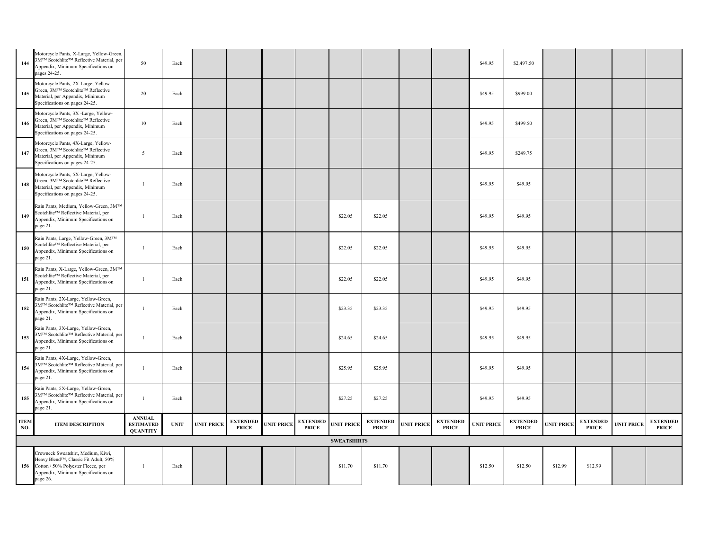| 144                | Motorcycle Pants, X-Large, Yellow-Green,<br>3M™ Scotchlite™ Reflective Material, per<br>Appendix, Minimum Specifications on<br>pages 24-25.                             | 50                                                   | Each        |                   |                                 |                   |                                 |                    |                                 |                   |                                 | \$49.95           | \$2,497.50                      |                   |                                 |                   |                                 |
|--------------------|-------------------------------------------------------------------------------------------------------------------------------------------------------------------------|------------------------------------------------------|-------------|-------------------|---------------------------------|-------------------|---------------------------------|--------------------|---------------------------------|-------------------|---------------------------------|-------------------|---------------------------------|-------------------|---------------------------------|-------------------|---------------------------------|
| 145                | Motorcycle Pants, 2X-Large, Yellow-<br>Green, 3M™ Scotchlite™ Reflective<br>Material, per Appendix, Minimum<br>Specifications on pages 24-25.                           | 20                                                   | Each        |                   |                                 |                   |                                 |                    |                                 |                   |                                 | \$49.95           | \$999.00                        |                   |                                 |                   |                                 |
| 146                | Motorcycle Pants, 3X -Large, Yellow-<br>Green, 3M™ Scotchlite™ Reflective<br>Material, per Appendix, Minimum<br>Specifications on pages 24-25.                          | 10                                                   | Each        |                   |                                 |                   |                                 |                    |                                 |                   |                                 | \$49.95           | \$499.50                        |                   |                                 |                   |                                 |
| 147                | Motorcycle Pants, 4X-Large, Yellow-<br>Green, 3M™ Scotchlite™ Reflective<br>Material, per Appendix, Minimum<br>Specifications on pages 24-25.                           | 5                                                    | Each        |                   |                                 |                   |                                 |                    |                                 |                   |                                 | \$49.95           | \$249.75                        |                   |                                 |                   |                                 |
| 148                | Motorcycle Pants, 5X-Large, Yellow-<br>Green, 3M™ Scotchlite™ Reflective<br>Material, per Appendix, Minimum<br>Specifications on pages 24-25.                           |                                                      | Each        |                   |                                 |                   |                                 |                    |                                 |                   |                                 | \$49.95           | \$49.95                         |                   |                                 |                   |                                 |
| 149                | Rain Pants, Medium, Yellow-Green, 3M™<br>Scotchlite™ Reflective Material, per<br>Appendix, Minimum Specifications on<br>page 21.                                        |                                                      | Each        |                   |                                 |                   |                                 | \$22.05            | \$22.05                         |                   |                                 | \$49.95           | \$49.95                         |                   |                                 |                   |                                 |
| 150                | Rain Pants, Large, Yellow-Green, 3MTM<br>Scotchlite™ Reflective Material, per<br>Appendix, Minimum Specifications on<br>page 21.                                        |                                                      | Each        |                   |                                 |                   |                                 | \$22.05            | \$22.05                         |                   |                                 | \$49.95           | \$49.95                         |                   |                                 |                   |                                 |
| 151                | Rain Pants, X-Large, Yellow-Green, 3M™<br>Scotchlite™ Reflective Material, per<br>Appendix, Minimum Specifications on<br>page 21.                                       |                                                      | Each        |                   |                                 |                   |                                 | \$22.05            | \$22.05                         |                   |                                 | \$49.95           | \$49.95                         |                   |                                 |                   |                                 |
| 152                | Rain Pants, 2X-Large, Yellow-Green,<br>3MTM Scotchlite <sup>TM</sup> Reflective Material, per<br>Appendix, Minimum Specifications on<br>page 21.                        |                                                      | Each        |                   |                                 |                   |                                 | \$23.35            | \$23.35                         |                   |                                 | \$49.95           | \$49.95                         |                   |                                 |                   |                                 |
| 153                | Rain Pants, 3X-Large, Yellow-Green,<br>3M™ Scotchlite™ Reflective Material, per<br>Appendix, Minimum Specifications on<br>page 21.                                      |                                                      | Each        |                   |                                 |                   |                                 | \$24.65            | \$24.65                         |                   |                                 | \$49.95           | \$49.95                         |                   |                                 |                   |                                 |
| 154                | Rain Pants, 4X-Large, Yellow-Green,<br>3MTM Scotchlite™ Reflective Material, per<br>Appendix, Minimum Specifications on<br>page 21.                                     |                                                      | Each        |                   |                                 |                   |                                 | \$25.95            | \$25.95                         |                   |                                 | \$49.95           | \$49.95                         |                   |                                 |                   |                                 |
| 155                | Rain Pants, 5X-Large, Yellow-Green,<br>3M™ Scotchlite™ Reflective Material, per<br>Appendix, Minimum Specifications on<br>page 21.                                      |                                                      | Each        |                   |                                 |                   |                                 | \$27.25            | \$27.25                         |                   |                                 | \$49.95           | \$49.95                         |                   |                                 |                   |                                 |
| <b>ITEM</b><br>NO. | <b>ITEM DESCRIPTION</b>                                                                                                                                                 | <b>ANNUAL</b><br><b>ESTIMATED</b><br><b>QUANTITY</b> | <b>UNIT</b> | <b>UNIT PRICE</b> | <b>EXTENDED</b><br><b>PRICE</b> | <b>UNIT PRICE</b> | <b>EXTENDED</b><br><b>PRICE</b> | <b>UNIT PRICE</b>  | <b>EXTENDED</b><br><b>PRICE</b> | <b>UNIT PRICE</b> | <b>EXTENDED</b><br><b>PRICE</b> | <b>UNIT PRICE</b> | <b>EXTENDED</b><br><b>PRICE</b> | <b>UNIT PRICE</b> | <b>EXTENDED</b><br><b>PRICE</b> | <b>UNIT PRICE</b> | <b>EXTENDED</b><br><b>PRICE</b> |
|                    |                                                                                                                                                                         |                                                      |             |                   |                                 |                   |                                 | <b>SWEATSHIRTS</b> |                                 |                   |                                 |                   |                                 |                   |                                 |                   |                                 |
|                    | Crewneck Sweatshirt, Medium, Kiwi,<br>Heavy Blend™, Classic Fit Adult, 50%<br>156 Cotton / 50% Polyester Fleece, per<br>Appendix, Minimum Specifications on<br>page 26. |                                                      | Each        |                   |                                 |                   |                                 | \$11.70            | \$11.70                         |                   |                                 | \$12.50           | \$12.50                         | \$12.99           | \$12.99                         |                   |                                 |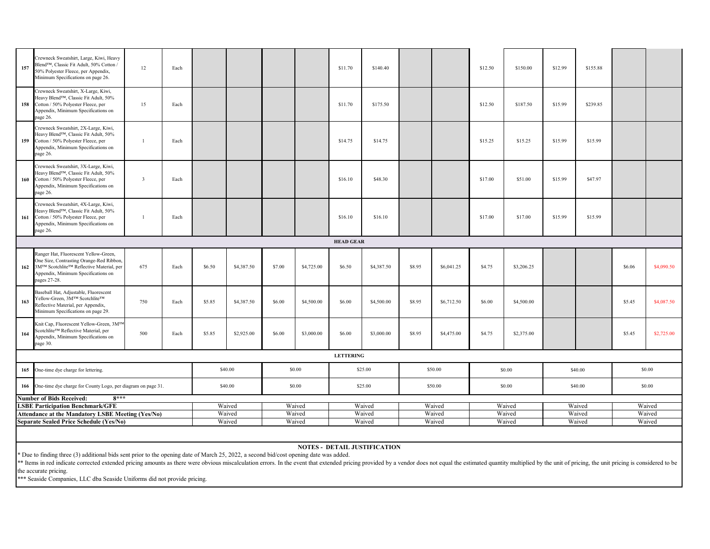\*\* Items in red indicate corrected extended pricing amounts as there were obvious miscalculation errors. In the event that extended pricing provided by a vendor does not equal the estimated quantity multiplied by the unit the accurate pricing.

\*\*\* Seaside Companies, LLC dba Seaside Uniforms did not provide pricing.

| 157 | Crewneck Sweatshirt, Large, Kiwi, Heavy<br>Blend™, Classic Fit Adult, 50% Cotton /<br>50% Polyester Fleece, per Appendix,<br>Minimum Specifications on page 26.                      | 12             | Each |        |            |        |                  | \$11.70          | \$140.40   |        |            | \$12.50 | \$150.00   | \$12.99 | \$155.88 |        |            |
|-----|--------------------------------------------------------------------------------------------------------------------------------------------------------------------------------------|----------------|------|--------|------------|--------|------------------|------------------|------------|--------|------------|---------|------------|---------|----------|--------|------------|
|     | Crewneck Sweatshirt, X-Large, Kiwi,<br>Heavy Blend™, Classic Fit Adult, 50%<br>158 Cotton / 50% Polyester Fleece, per<br>Appendix, Minimum Specifications on<br>page 26.             | 15             | Each |        |            |        |                  | \$11.70          | \$175.50   |        |            | \$12.50 | \$187.50   | \$15.99 | \$239.85 |        |            |
|     | Crewneck Sweatshirt, 2X-Large, Kiwi,<br>Heavy Blend™, Classic Fit Adult, 50%<br>159 Cotton / 50% Polyester Fleece, per<br>Appendix, Minimum Specifications on<br>page 26.            |                | Each |        |            |        |                  | \$14.75          | \$14.75    |        |            | \$15.25 | \$15.25    | \$15.99 | \$15.99  |        |            |
| 160 | Crewneck Sweatshirt, 3X-Large, Kiwi,<br>Heavy Blend™, Classic Fit Adult, 50%<br>Cotton / 50% Polyester Fleece, per<br>Appendix, Minimum Specifications on<br>page 26.                | $\overline{3}$ | Each |        |            |        |                  | \$16.10          | \$48.30    |        |            | \$17.00 | \$51.00    | \$15.99 | \$47.97  |        |            |
|     | Crewneck Sweatshirt, 4X-Large, Kiwi,<br>Heavy Blend™, Classic Fit Adult, 50%<br>161 Cotton / 50% Polyester Fleece, per<br>Appendix, Minimum Specifications on<br>page 26.            |                | Each |        |            |        |                  | \$16.10          | \$16.10    |        |            | \$17.00 | \$17.00    | \$15.99 | \$15.99  |        |            |
|     |                                                                                                                                                                                      |                |      |        |            |        |                  | <b>HEAD GEAR</b> |            |        |            |         |            |         |          |        |            |
| 162 | Ranger Hat, Fluorescent Yellow-Green,<br>One Size, Contrasting Orange-Red Ribbon,<br>3M™ Scotchlite™ Reflective Material, per<br>Appendix, Minimum Specifications on<br>pages 27-28. | 675            | Each | \$6.50 | \$4,387.50 | \$7.00 | \$4,725.00       | \$6.50           | \$4,387.50 | \$8.95 | \$6,041.25 | \$4.75  | \$3,206.25 |         |          | \$6.06 | \$4,090.50 |
| 163 | Baseball Hat, Adjustable, Fluorescent<br>Yellow-Green, 3M™ Scotchlite™<br>Reflective Material, per Appendix,<br>Minimum Specifications on page 29.                                   | 750            | Each | \$5.85 | \$4,387.50 | \$6.00 | \$4,500.00       | \$6.00           | \$4,500.00 | \$8.95 | \$6,712.50 | \$6.00  | \$4,500.00 |         |          | \$5.45 | \$4,087.50 |
| 164 | Knit Cap, Fluorescent Yellow-Green, 3MTM<br>Scotchlite™ Reflective Material, per<br>Appendix, Minimum Specifications on<br>page 30.                                                  | 500            |      |        | \$2,925.00 | \$6.00 | \$3,000.00       | \$6.00           | \$3,000.00 | \$8.95 | \$4,475.00 | \$4.75  | \$2,375.00 |         |          | \$5.45 | \$2,725.00 |
|     |                                                                                                                                                                                      |                |      |        |            |        | <b>LETTERING</b> |                  |            |        |            |         |            |         |          |        |            |
|     | 165 One-time dye charge for lettering.                                                                                                                                               |                |      |        | \$40.00    |        | \$0.00           |                  | \$25.00    |        | \$50.00    |         | \$0.00     |         | \$40.00  |        | \$0.00     |
|     | 166 One-time dye charge for County Logo, per diagram on page 31.                                                                                                                     |                |      |        | \$40.00    |        | \$0.00           |                  | \$25.00    |        | \$50.00    |         | \$0.00     |         | \$40.00  |        | \$0.00     |
|     | $8***$<br><b>Number of Bids Received:</b>                                                                                                                                            |                |      |        |            |        |                  |                  |            |        |            |         |            |         |          |        |            |
|     | <b>LSBE Participation Benchmark/GFE</b>                                                                                                                                              |                |      |        | Waived     |        | Waived           |                  | Waived     |        | Waived     |         | Waived     |         | Waived   |        | Waived     |
|     | <b>Attendance at the Mandatory LSBE Meeting (Yes/No)</b>                                                                                                                             |                |      | Waived |            | Waived |                  | Waived           |            | Waived |            | Waived  |            | Waived  |          | Waived |            |
|     | <b>Separate Sealed Price Schedule (Yes/No)</b>                                                                                                                                       |                |      |        | Waived     |        | Waived           |                  | Waived     |        | Waived     |         | Waived     |         | Waived   |        | Waived     |
|     |                                                                                                                                                                                      |                |      |        |            |        |                  |                  |            |        |            |         |            |         |          |        |            |

\* Due to finding three (3) additional bids sent prior to the opening date of March 25, 2022, a second bid/cost opening date was added.

#### **NOTES - DETAIL JUSTIFICATION**